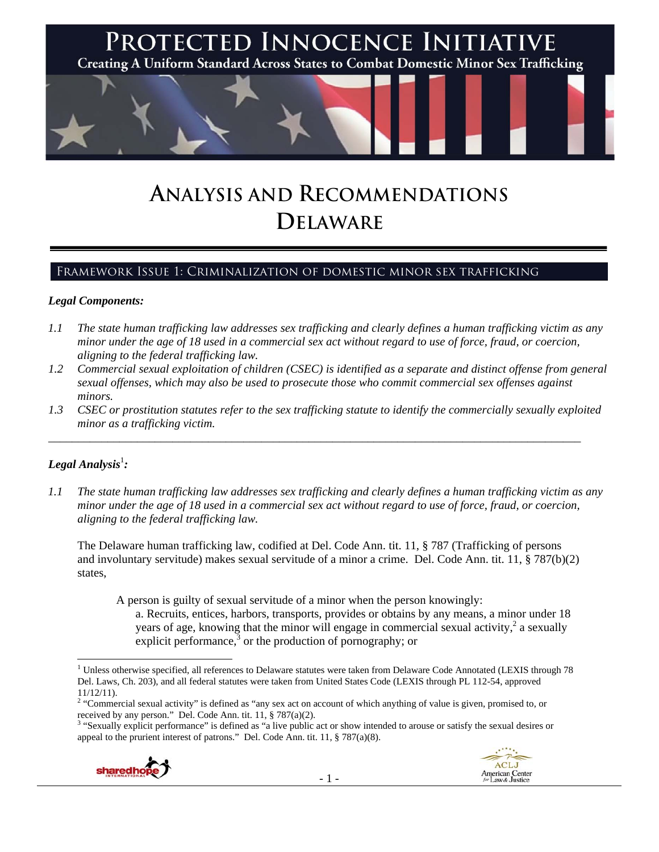

# **ANALYSIS AND RECOMMENDATIONS DELAWARE**

# Framework Issue 1: Criminalization of domestic minor sex trafficking

### *Legal Components:*

- *1.1 The state human trafficking law addresses sex trafficking and clearly defines a human trafficking victim as any minor under the age of 18 used in a commercial sex act without regard to use of force, fraud, or coercion, aligning to the federal trafficking law.*
- *1.2 Commercial sexual exploitation of children (CSEC) is identified as a separate and distinct offense from general sexual offenses, which may also be used to prosecute those who commit commercial sex offenses against minors.*
- *1.3 CSEC or prostitution statutes refer to the sex trafficking statute to identify the commercially sexually exploited minor as a trafficking victim.*

\_\_\_\_\_\_\_\_\_\_\_\_\_\_\_\_\_\_\_\_\_\_\_\_\_\_\_\_\_\_\_\_\_\_\_\_\_\_\_\_\_\_\_\_\_\_\_\_\_\_\_\_\_\_\_\_\_\_\_\_\_\_\_\_\_\_\_\_\_\_\_\_\_\_\_\_\_\_\_\_\_\_\_\_\_\_\_\_\_\_

# ${\it Legal Analysis^!}$  :

*1.1 The state human trafficking law addresses sex trafficking and clearly defines a human trafficking victim as any minor under the age of 18 used in a commercial sex act without regard to use of force, fraud, or coercion, aligning to the federal trafficking law.* 

The Delaware human trafficking law, codified at Del. Code Ann. tit. 11, § 787 (Trafficking of persons and involuntary servitude) makes sexual servitude of a minor a crime. Del. Code Ann. tit. 11, § 787(b)(2) states,

A person is guilty of sexual servitude of a minor when the person knowingly: a. Recruits, entices, harbors, transports, provides or obtains by any means, a minor under 18 years of age, knowing that the minor will engage in commercial sexual activity,<sup>2</sup> a sexually explicit performance, $3$  or the production of pornography; or

<sup>&</sup>lt;sup>3</sup> "Sexually explicit performance" is defined as "a live public act or show intended to arouse or satisfy the sexual desires or appeal to the prurient interest of patrons." Del. Code Ann. tit. 11, § 787(a)(8).



 <sup>1</sup> Unless otherwise specified, all references to Delaware statutes were taken from Delaware Code Annotated (LEXIS through 78 Del. Laws, Ch. 203), and all federal statutes were taken from United States Code (LEXIS through PL 112-54, approved 11/12/11).

<sup>&</sup>lt;sup>2</sup> "Commercial sexual activity" is defined as "any sex act on account of which anything of value is given, promised to, or received by any person." Del. Code Ann. tit. 11, § 787(a)(2).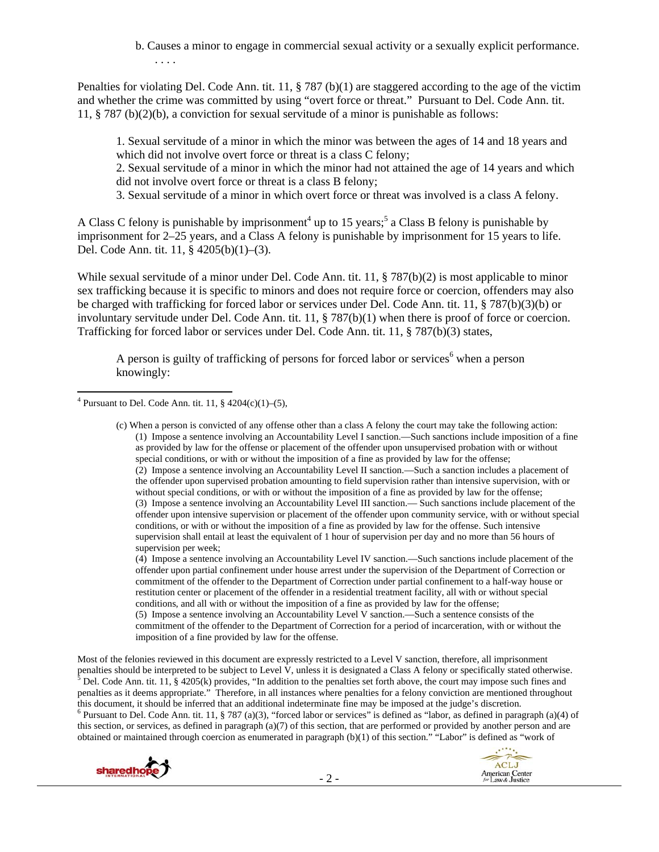b. Causes a minor to engage in commercial sexual activity or a sexually explicit performance. . . . .

Penalties for violating Del. Code Ann. tit. 11, § 787 (b)(1) are staggered according to the age of the victim and whether the crime was committed by using "overt force or threat." Pursuant to Del. Code Ann. tit. 11, § 787 (b)(2)(b), a conviction for sexual servitude of a minor is punishable as follows:

1. Sexual servitude of a minor in which the minor was between the ages of 14 and 18 years and which did not involve overt force or threat is a class C felony;

2. Sexual servitude of a minor in which the minor had not attained the age of 14 years and which did not involve overt force or threat is a class B felony;

3. Sexual servitude of a minor in which overt force or threat was involved is a class A felony.

A Class C felony is punishable by imprisonment<sup>4</sup> up to 15 years;<sup>5</sup> a Class B felony is punishable by imprisonment for 2–25 years, and a Class A felony is punishable by imprisonment for 15 years to life. Del. Code Ann. tit. 11, § 4205(b)(1)–(3).

While sexual servitude of a minor under Del. Code Ann. tit. 11, § 787(b)(2) is most applicable to minor sex trafficking because it is specific to minors and does not require force or coercion, offenders may also be charged with trafficking for forced labor or services under Del. Code Ann. tit. 11, § 787(b)(3)(b) or involuntary servitude under Del. Code Ann. tit. 11, § 787(b)(1) when there is proof of force or coercion. Trafficking for forced labor or services under Del. Code Ann. tit. 11, § 787(b)(3) states,

A person is guilty of trafficking of persons for forced labor or services<sup>6</sup> when a person knowingly:

(4) Impose a sentence involving an Accountability Level IV sanction.—Such sanctions include placement of the offender upon partial confinement under house arrest under the supervision of the Department of Correction or commitment of the offender to the Department of Correction under partial confinement to a half-way house or restitution center or placement of the offender in a residential treatment facility, all with or without special conditions, and all with or without the imposition of a fine as provided by law for the offense; (5) Impose a sentence involving an Accountability Level V sanction.—Such a sentence consists of the commitment of the offender to the Department of Correction for a period of incarceration, with or without the imposition of a fine provided by law for the offense.

Most of the felonies reviewed in this document are expressly restricted to a Level V sanction, therefore, all imprisonment penalties should be interpreted to be subject to Level V, unless it is designated a Class A felony or specifically stated otherwise. Del. Code Ann. tit. 11, § 4205(k) provides, "In addition to the penalties set forth above, the court may impose such fines and penalties as it deems appropriate." Therefore, in all instances where penalties for a felony conviction are mentioned throughout this document, it should be inferred that an additional indeterminate fine may be imposed at the judge's discretion. 6  $6$  Pursuant to Del. Code Ann. tit. 11, § 787 (a)(3), "forced labor or services" is defined as "labor, as defined in paragraph (a)(4) of this section, or services, as defined in paragraph  $(a)(7)$  of this section, that are performed or provided by another person and are obtained or maintained through coercion as enumerated in paragraph (b)(1) of this section." "Labor" is defined as "work of



 4 Pursuant to Del. Code Ann. tit. 11, § 4204(c)(1)–(5),

<sup>(</sup>c) When a person is convicted of any offense other than a class A felony the court may take the following action: (1) Impose a sentence involving an Accountability Level I sanction.—Such sanctions include imposition of a fine as provided by law for the offense or placement of the offender upon unsupervised probation with or without special conditions, or with or without the imposition of a fine as provided by law for the offense; (2) Impose a sentence involving an Accountability Level II sanction.—Such a sanction includes a placement of the offender upon supervised probation amounting to field supervision rather than intensive supervision, with or without special conditions, or with or without the imposition of a fine as provided by law for the offense; (3) Impose a sentence involving an Accountability Level III sanction.— Such sanctions include placement of the offender upon intensive supervision or placement of the offender upon community service, with or without special conditions, or with or without the imposition of a fine as provided by law for the offense. Such intensive supervision shall entail at least the equivalent of 1 hour of supervision per day and no more than 56 hours of supervision per week;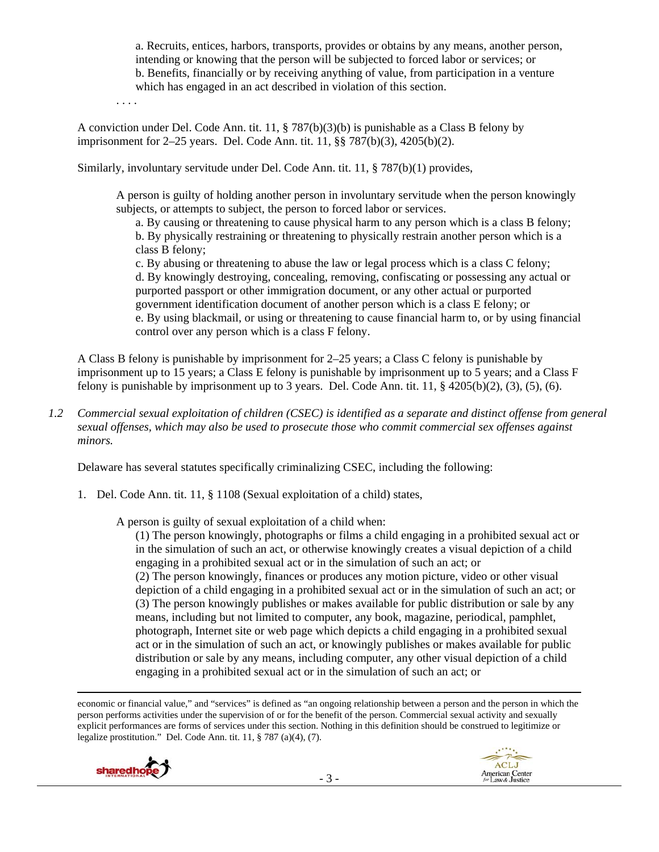a. Recruits, entices, harbors, transports, provides or obtains by any means, another person, intending or knowing that the person will be subjected to forced labor or services; or b. Benefits, financially or by receiving anything of value, from participation in a venture which has engaged in an act described in violation of this section.

. . . .

A conviction under Del. Code Ann. tit. 11, § 787(b)(3)(b) is punishable as a Class B felony by imprisonment for 2–25 years. Del. Code Ann. tit. 11, §§ 787(b)(3), 4205(b)(2).

Similarly, involuntary servitude under Del. Code Ann. tit. 11, § 787(b)(1) provides,

A person is guilty of holding another person in involuntary servitude when the person knowingly subjects, or attempts to subject, the person to forced labor or services.

a. By causing or threatening to cause physical harm to any person which is a class B felony; b. By physically restraining or threatening to physically restrain another person which is a class B felony;

c. By abusing or threatening to abuse the law or legal process which is a class C felony; d. By knowingly destroying, concealing, removing, confiscating or possessing any actual or purported passport or other immigration document, or any other actual or purported government identification document of another person which is a class E felony; or e. By using blackmail, or using or threatening to cause financial harm to, or by using financial control over any person which is a class F felony.

A Class B felony is punishable by imprisonment for 2–25 years; a Class C felony is punishable by imprisonment up to 15 years; a Class E felony is punishable by imprisonment up to 5 years; and a Class F felony is punishable by imprisonment up to 3 years. Del. Code Ann. tit. 11,  $\S$  4205(b)(2), (3), (5), (6).

*1.2 Commercial sexual exploitation of children (CSEC) is identified as a separate and distinct offense from general sexual offenses, which may also be used to prosecute those who commit commercial sex offenses against minors.* 

Delaware has several statutes specifically criminalizing CSEC, including the following:

1. Del. Code Ann. tit. 11, § 1108 (Sexual exploitation of a child) states,

A person is guilty of sexual exploitation of a child when:

(1) The person knowingly, photographs or films a child engaging in a prohibited sexual act or in the simulation of such an act, or otherwise knowingly creates a visual depiction of a child engaging in a prohibited sexual act or in the simulation of such an act; or (2) The person knowingly, finances or produces any motion picture, video or other visual depiction of a child engaging in a prohibited sexual act or in the simulation of such an act; or (3) The person knowingly publishes or makes available for public distribution or sale by any means, including but not limited to computer, any book, magazine, periodical, pamphlet, photograph, Internet site or web page which depicts a child engaging in a prohibited sexual act or in the simulation of such an act, or knowingly publishes or makes available for public distribution or sale by any means, including computer, any other visual depiction of a child engaging in a prohibited sexual act or in the simulation of such an act; or

<u> 1989 - Johann Stoff, amerikansk politiker (d. 1989)</u> economic or financial value," and "services" is defined as "an ongoing relationship between a person and the person in which the person performs activities under the supervision of or for the benefit of the person. Commercial sexual activity and sexually explicit performances are forms of services under this section. Nothing in this definition should be construed to legitimize or legalize prostitution." Del. Code Ann. tit. 11, § 787 (a)(4), (7).



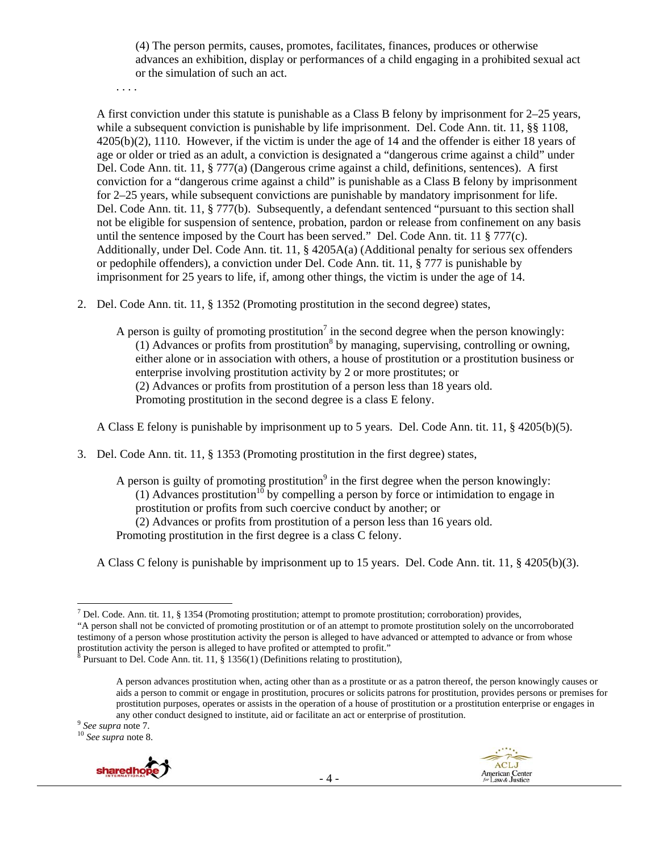(4) The person permits, causes, promotes, facilitates, finances, produces or otherwise advances an exhibition, display or performances of a child engaging in a prohibited sexual act or the simulation of such an act.

. . . .

A first conviction under this statute is punishable as a Class B felony by imprisonment for 2–25 years, while a subsequent conviction is punishable by life imprisonment. Del. Code Ann. tit. 11, §§ 1108, 4205(b)(2), 1110. However, if the victim is under the age of 14 and the offender is either 18 years of age or older or tried as an adult, a conviction is designated a "dangerous crime against a child" under Del. Code Ann. tit. 11, § 777(a) (Dangerous crime against a child, definitions, sentences). A first conviction for a "dangerous crime against a child" is punishable as a Class B felony by imprisonment for 2–25 years, while subsequent convictions are punishable by mandatory imprisonment for life. Del. Code Ann. tit. 11, § 777(b). Subsequently, a defendant sentenced "pursuant to this section shall not be eligible for suspension of sentence, probation, pardon or release from confinement on any basis until the sentence imposed by the Court has been served." Del. Code Ann. tit. 11 § 777(c). Additionally, under Del. Code Ann. tit. 11, § 4205A(a) (Additional penalty for serious sex offenders or pedophile offenders), a conviction under Del. Code Ann. tit. 11, § 777 is punishable by imprisonment for 25 years to life, if, among other things, the victim is under the age of 14.

2. Del. Code Ann. tit. 11, § 1352 (Promoting prostitution in the second degree) states,

A person is guilty of promoting prostitution<sup>7</sup> in the second degree when the person knowingly:  $(1)$  Advances or profits from prostitution<sup>8</sup> by managing, supervising, controlling or owning, either alone or in association with others, a house of prostitution or a prostitution business or enterprise involving prostitution activity by 2 or more prostitutes; or (2) Advances or profits from prostitution of a person less than 18 years old. Promoting prostitution in the second degree is a class E felony.

A Class E felony is punishable by imprisonment up to 5 years. Del. Code Ann. tit. 11, § 4205(b)(5).

3. Del. Code Ann. tit. 11, § 1353 (Promoting prostitution in the first degree) states,

A person is guilty of promoting prostitution<sup>9</sup> in the first degree when the person knowingly: (1) Advances prostitution<sup>10</sup> by compelling a person by force or intimidation to engage in prostitution or profits from such coercive conduct by another; or (2) Advances or profits from prostitution of a person less than 16 years old. Promoting prostitution in the first degree is a class C felony.

A Class C felony is punishable by imprisonment up to 15 years. Del. Code Ann. tit. 11, § 4205(b)(3).



<sup>&</sup>lt;sup>7</sup> Del. Code. Ann. tit. 11, § 1354 (Promoting prostitution; attempt to promote prostitution; corroboration) provides, "A person shall not be convicted of promoting prostitution or of an attempt to promote prostitution solely on the uncorroborated testimony of a person whose prostitution activity the person is alleged to have advanced or attempted to advance or from whose

prostitution activity the person is alleged to have profited or attempted to profit."<br><sup>8</sup> Pursuant to Del. Code Ann. tit. 11, § 1356(1) (Definitions relating to prostitution),

A person advances prostitution when, acting other than as a prostitute or as a patron thereof, the person knowingly causes or aids a person to commit or engage in prostitution, procures or solicits patrons for prostitution, provides persons or premises for prostitution purposes, operates or assists in the operation of a house of prostitution or a prostitution enterprise or engages in any other conduct designed to institute, aid or facilitate an act or enterprise of prostitution. <sup>9</sup> *See supra* note 7. <sup>10</sup> *See supra* note 8.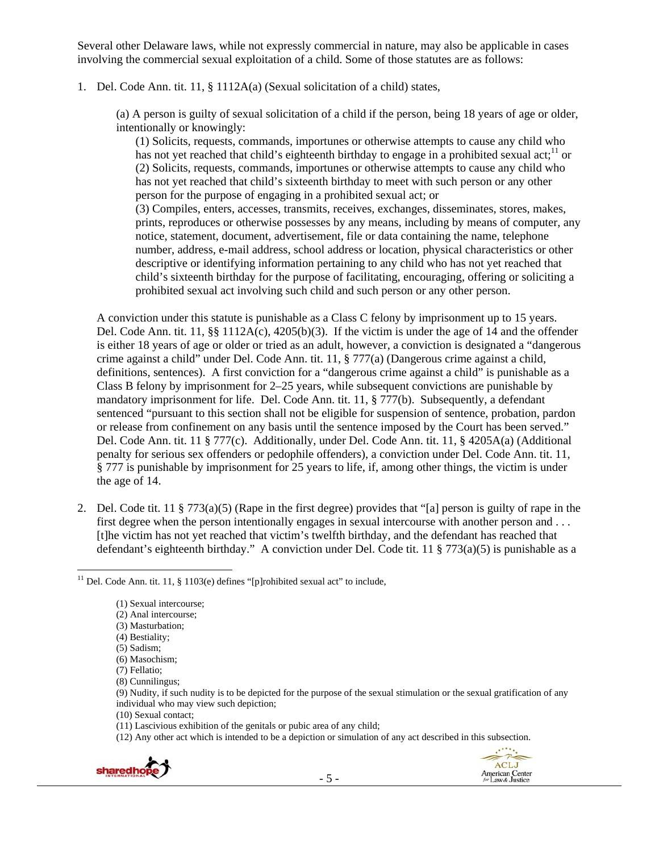Several other Delaware laws, while not expressly commercial in nature, may also be applicable in cases involving the commercial sexual exploitation of a child. Some of those statutes are as follows:

#### 1. Del. Code Ann. tit. 11, § 1112A(a) (Sexual solicitation of a child) states,

(a) A person is guilty of sexual solicitation of a child if the person, being 18 years of age or older, intentionally or knowingly:

(1) Solicits, requests, commands, importunes or otherwise attempts to cause any child who has not yet reached that child's eighteenth birthday to engage in a prohibited sexual act;  $\frac{11}{1}$  or (2) Solicits, requests, commands, importunes or otherwise attempts to cause any child who has not yet reached that child's sixteenth birthday to meet with such person or any other person for the purpose of engaging in a prohibited sexual act; or

(3) Compiles, enters, accesses, transmits, receives, exchanges, disseminates, stores, makes, prints, reproduces or otherwise possesses by any means, including by means of computer, any notice, statement, document, advertisement, file or data containing the name, telephone number, address, e-mail address, school address or location, physical characteristics or other descriptive or identifying information pertaining to any child who has not yet reached that child's sixteenth birthday for the purpose of facilitating, encouraging, offering or soliciting a prohibited sexual act involving such child and such person or any other person.

A conviction under this statute is punishable as a Class C felony by imprisonment up to 15 years. Del. Code Ann. tit. 11,  $\S$ § 1112A(c), 4205(b)(3). If the victim is under the age of 14 and the offender is either 18 years of age or older or tried as an adult, however, a conviction is designated a "dangerous crime against a child" under Del. Code Ann. tit. 11, § 777(a) (Dangerous crime against a child, definitions, sentences). A first conviction for a "dangerous crime against a child" is punishable as a Class B felony by imprisonment for 2–25 years, while subsequent convictions are punishable by mandatory imprisonment for life. Del. Code Ann. tit. 11, § 777(b). Subsequently, a defendant sentenced "pursuant to this section shall not be eligible for suspension of sentence, probation, pardon or release from confinement on any basis until the sentence imposed by the Court has been served." Del. Code Ann. tit. 11 § 777(c). Additionally, under Del. Code Ann. tit. 11, § 4205A(a) (Additional penalty for serious sex offenders or pedophile offenders), a conviction under Del. Code Ann. tit. 11, § 777 is punishable by imprisonment for 25 years to life, if, among other things, the victim is under the age of 14.

2. Del. Code tit. 11 § 773(a)(5) (Rape in the first degree) provides that "[a] person is guilty of rape in the first degree when the person intentionally engages in sexual intercourse with another person and . . . [t]he victim has not yet reached that victim's twelfth birthday, and the defendant has reached that defendant's eighteenth birthday." A conviction under Del. Code tit. 11 § 773(a)(5) is punishable as a

<sup>(12)</sup> Any other act which is intended to be a depiction or simulation of any act described in this subsection.





 <sup>11</sup> Del. Code Ann. tit. 11, § 1103(e) defines "[p]rohibited sexual act" to include,

<sup>(1)</sup> Sexual intercourse;

<sup>(2)</sup> Anal intercourse;

<sup>(3)</sup> Masturbation;

<sup>(4)</sup> Bestiality;

<sup>(5)</sup> Sadism;

<sup>(6)</sup> Masochism;

<sup>(7)</sup> Fellatio; (8) Cunnilingus;

<sup>(9)</sup> Nudity, if such nudity is to be depicted for the purpose of the sexual stimulation or the sexual gratification of any individual who may view such depiction;

<sup>(10)</sup> Sexual contact;

<sup>(11)</sup> Lascivious exhibition of the genitals or pubic area of any child;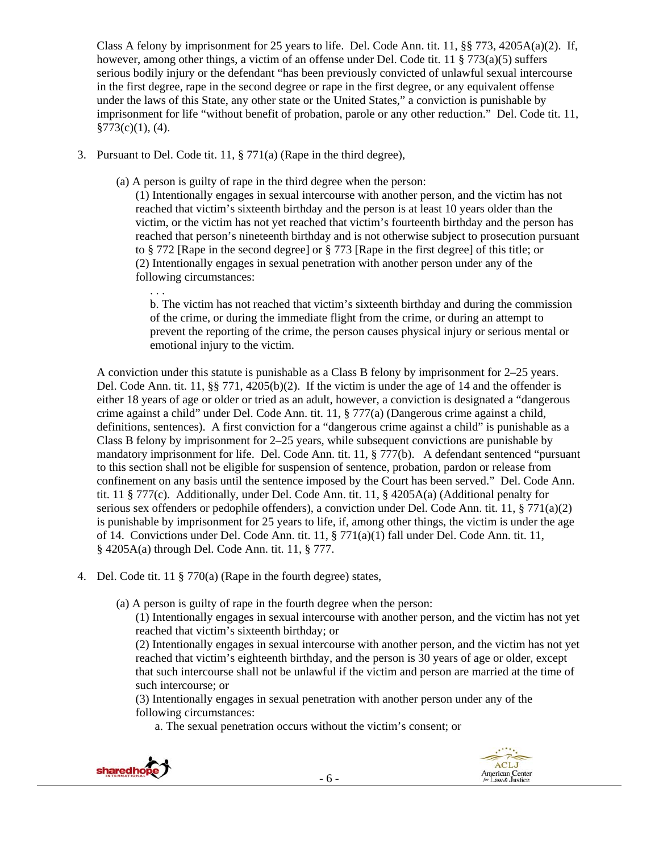Class A felony by imprisonment for 25 years to life. Del. Code Ann. tit. 11,  $\S$ § 773, 4205A(a)(2). If, however, among other things, a victim of an offense under Del. Code tit. 11 § 773(a)(5) suffers serious bodily injury or the defendant "has been previously convicted of unlawful sexual intercourse in the first degree, rape in the second degree or rape in the first degree, or any equivalent offense under the laws of this State, any other state or the United States," a conviction is punishable by imprisonment for life "without benefit of probation, parole or any other reduction." Del. Code tit. 11,  $§773(c)(1), (4).$ 

3. Pursuant to Del. Code tit. 11, § 771(a) (Rape in the third degree),

. . .

(a) A person is guilty of rape in the third degree when the person:

(1) Intentionally engages in sexual intercourse with another person, and the victim has not reached that victim's sixteenth birthday and the person is at least 10 years older than the victim, or the victim has not yet reached that victim's fourteenth birthday and the person has reached that person's nineteenth birthday and is not otherwise subject to prosecution pursuant to § 772 [Rape in the second degree] or § 773 [Rape in the first degree] of this title; or (2) Intentionally engages in sexual penetration with another person under any of the following circumstances:

b. The victim has not reached that victim's sixteenth birthday and during the commission of the crime, or during the immediate flight from the crime, or during an attempt to prevent the reporting of the crime, the person causes physical injury or serious mental or emotional injury to the victim.

A conviction under this statute is punishable as a Class B felony by imprisonment for 2–25 years. Del. Code Ann. tit. 11, §§ 771, 4205(b)(2). If the victim is under the age of 14 and the offender is either 18 years of age or older or tried as an adult, however, a conviction is designated a "dangerous crime against a child" under Del. Code Ann. tit. 11, § 777(a) (Dangerous crime against a child, definitions, sentences). A first conviction for a "dangerous crime against a child" is punishable as a Class B felony by imprisonment for 2–25 years, while subsequent convictions are punishable by mandatory imprisonment for life. Del. Code Ann. tit. 11, § 777(b). A defendant sentenced "pursuant to this section shall not be eligible for suspension of sentence, probation, pardon or release from confinement on any basis until the sentence imposed by the Court has been served." Del. Code Ann. tit. 11 § 777(c). Additionally, under Del. Code Ann. tit. 11, § 4205A(a) (Additional penalty for serious sex offenders or pedophile offenders), a conviction under Del. Code Ann. tit. 11, § 771(a)(2) is punishable by imprisonment for 25 years to life, if, among other things, the victim is under the age of 14. Convictions under Del. Code Ann. tit. 11, § 771(a)(1) fall under Del. Code Ann. tit. 11, § 4205A(a) through Del. Code Ann. tit. 11, § 777.

- 4. Del. Code tit. 11 § 770(a) (Rape in the fourth degree) states,
	- (a) A person is guilty of rape in the fourth degree when the person:

(1) Intentionally engages in sexual intercourse with another person, and the victim has not yet reached that victim's sixteenth birthday; or

(2) Intentionally engages in sexual intercourse with another person, and the victim has not yet reached that victim's eighteenth birthday, and the person is 30 years of age or older, except that such intercourse shall not be unlawful if the victim and person are married at the time of such intercourse; or

(3) Intentionally engages in sexual penetration with another person under any of the following circumstances:

a. The sexual penetration occurs without the victim's consent; or



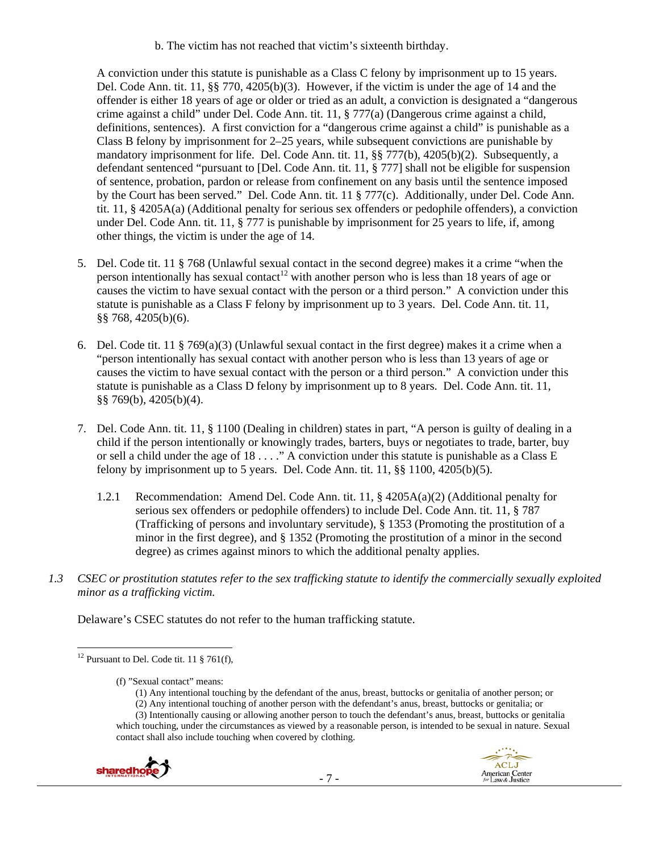b. The victim has not reached that victim's sixteenth birthday.

A conviction under this statute is punishable as a Class C felony by imprisonment up to 15 years. Del. Code Ann. tit. 11, §§ 770, 4205(b)(3). However, if the victim is under the age of 14 and the offender is either 18 years of age or older or tried as an adult, a conviction is designated a "dangerous crime against a child" under Del. Code Ann. tit. 11, § 777(a) (Dangerous crime against a child, definitions, sentences). A first conviction for a "dangerous crime against a child" is punishable as a Class B felony by imprisonment for 2–25 years, while subsequent convictions are punishable by mandatory imprisonment for life. Del. Code Ann. tit. 11, §§ 777(b), 4205(b)(2). Subsequently, a defendant sentenced "pursuant to [Del. Code Ann. tit. 11, § 777] shall not be eligible for suspension of sentence, probation, pardon or release from confinement on any basis until the sentence imposed by the Court has been served." Del. Code Ann. tit. 11 § 777(c). Additionally, under Del. Code Ann. tit. 11, § 4205A(a) (Additional penalty for serious sex offenders or pedophile offenders), a conviction under Del. Code Ann. tit. 11, § 777 is punishable by imprisonment for 25 years to life, if, among other things, the victim is under the age of 14.

- 5. Del. Code tit. 11 § 768 (Unlawful sexual contact in the second degree) makes it a crime "when the person intentionally has sexual contact<sup>12</sup> with another person who is less than 18 years of age or causes the victim to have sexual contact with the person or a third person." A conviction under this statute is punishable as a Class F felony by imprisonment up to 3 years. Del. Code Ann. tit. 11, §§ 768, 4205(b)(6).
- 6. Del. Code tit. 11 § 769(a)(3) (Unlawful sexual contact in the first degree) makes it a crime when a "person intentionally has sexual contact with another person who is less than 13 years of age or causes the victim to have sexual contact with the person or a third person." A conviction under this statute is punishable as a Class D felony by imprisonment up to 8 years. Del. Code Ann. tit. 11, §§ 769(b), 4205(b)(4).
- 7. Del. Code Ann. tit. 11, § 1100 (Dealing in children) states in part, "A person is guilty of dealing in a child if the person intentionally or knowingly trades, barters, buys or negotiates to trade, barter, buy or sell a child under the age of 18 . . . ." A conviction under this statute is punishable as a Class E felony by imprisonment up to 5 years. Del. Code Ann. tit.  $11, \frac{88}{100}$ ,  $4205(b)(5)$ .
	- 1.2.1 Recommendation: Amend Del. Code Ann. tit. 11, § 4205A(a)(2) (Additional penalty for serious sex offenders or pedophile offenders) to include Del. Code Ann. tit. 11, § 787 (Trafficking of persons and involuntary servitude), § 1353 (Promoting the prostitution of a minor in the first degree), and § 1352 (Promoting the prostitution of a minor in the second degree) as crimes against minors to which the additional penalty applies.
- *1.3 CSEC or prostitution statutes refer to the sex trafficking statute to identify the commercially sexually exploited minor as a trafficking victim.*

Delaware's CSEC statutes do not refer to the human trafficking statute.

- (1) Any intentional touching by the defendant of the anus, breast, buttocks or genitalia of another person; or
- (2) Any intentional touching of another person with the defendant's anus, breast, buttocks or genitalia; or

<sup>(3)</sup> Intentionally causing or allowing another person to touch the defendant's anus, breast, buttocks or genitalia which touching, under the circumstances as viewed by a reasonable person, is intended to be sexual in nature. Sexual contact shall also include touching when covered by clothing.



 <sup>12</sup> Pursuant to Del. Code tit. 11  $\S$  761(f),

<sup>(</sup>f) "Sexual contact" means: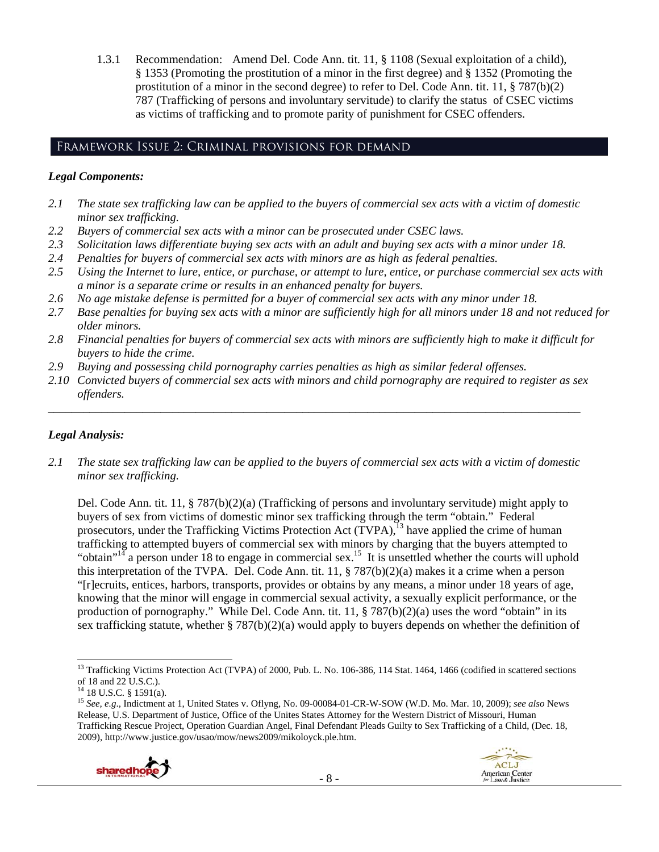1.3.1 Recommendation: Amend Del. Code Ann. tit. 11, § 1108 (Sexual exploitation of a child), § 1353 (Promoting the prostitution of a minor in the first degree) and § 1352 (Promoting the prostitution of a minor in the second degree) to refer to Del. Code Ann. tit. 11,  $\S 787(b)(2)$ 787 (Trafficking of persons and involuntary servitude) to clarify the status of CSEC victims as victims of trafficking and to promote parity of punishment for CSEC offenders.

# Framework Issue 2: Criminal provisions for demand

#### *Legal Components:*

- *2.1 The state sex trafficking law can be applied to the buyers of commercial sex acts with a victim of domestic minor sex trafficking.*
- *2.2 Buyers of commercial sex acts with a minor can be prosecuted under CSEC laws.*
- *2.3 Solicitation laws differentiate buying sex acts with an adult and buying sex acts with a minor under 18.*
- *2.4 Penalties for buyers of commercial sex acts with minors are as high as federal penalties.*
- *2.5 Using the Internet to lure, entice, or purchase, or attempt to lure, entice, or purchase commercial sex acts with a minor is a separate crime or results in an enhanced penalty for buyers.*
- *2.6 No age mistake defense is permitted for a buyer of commercial sex acts with any minor under 18.*
- *2.7 Base penalties for buying sex acts with a minor are sufficiently high for all minors under 18 and not reduced for older minors.*
- *2.8 Financial penalties for buyers of commercial sex acts with minors are sufficiently high to make it difficult for buyers to hide the crime.*
- *2.9 Buying and possessing child pornography carries penalties as high as similar federal offenses.*
- *2.10 Convicted buyers of commercial sex acts with minors and child pornography are required to register as sex offenders.*

\_\_\_\_\_\_\_\_\_\_\_\_\_\_\_\_\_\_\_\_\_\_\_\_\_\_\_\_\_\_\_\_\_\_\_\_\_\_\_\_\_\_\_\_\_\_\_\_\_\_\_\_\_\_\_\_\_\_\_\_\_\_\_\_\_\_\_\_\_\_\_\_\_\_\_\_\_\_\_\_\_\_\_\_\_\_\_\_\_\_

# *Legal Analysis:*

*2.1 The state sex trafficking law can be applied to the buyers of commercial sex acts with a victim of domestic minor sex trafficking.* 

Del. Code Ann. tit. 11, § 787(b)(2)(a) (Trafficking of persons and involuntary servitude) might apply to buyers of sex from victims of domestic minor sex trafficking through the term "obtain." Federal prosecutors, under the Trafficking Victims Protection Act  $(TVPA)$ ,<sup>13</sup> have applied the crime of human trafficking to attempted buyers of commercial sex with minors by charging that the buyers attempted to "obtain"<sup>14</sup> a person under 18 to engage in commercial sex.<sup>15</sup> It is unsettled whether the courts will uphold this interpretation of the TVPA. Del. Code Ann. tit. 11, § 787(b)(2)(a) makes it a crime when a person "[r]ecruits, entices, harbors, transports, provides or obtains by any means, a minor under 18 years of age, knowing that the minor will engage in commercial sexual activity, a sexually explicit performance, or the production of pornography." While Del. Code Ann. tit.  $11, \frac{8}{9}$  787(b)(2)(a) uses the word "obtain" in its sex trafficking statute, whether  $\S 787(b)(2)(a)$  would apply to buyers depends on whether the definition of

<sup>15</sup> *See, e.g*., Indictment at 1, United States v. Oflyng, No. 09-00084-01-CR-W-SOW (W.D. Mo. Mar. 10, 2009); *see also* News Release, U.S. Department of Justice, Office of the Unites States Attorney for the Western District of Missouri, Human Trafficking Rescue Project, Operation Guardian Angel, Final Defendant Pleads Guilty to Sex Trafficking of a Child, (Dec. 18, 2009), http://www.justice.gov/usao/mow/news2009/mikoloyck.ple.htm.



 <sup>13</sup> Trafficking Victims Protection Act (TVPA) of 2000, Pub. L. No. 106-386, 114 Stat. 1464, 1466 (codified in scattered sections of 18 and 22 U.S.C.).

<sup>14 18</sup> U.S.C. § 1591(a).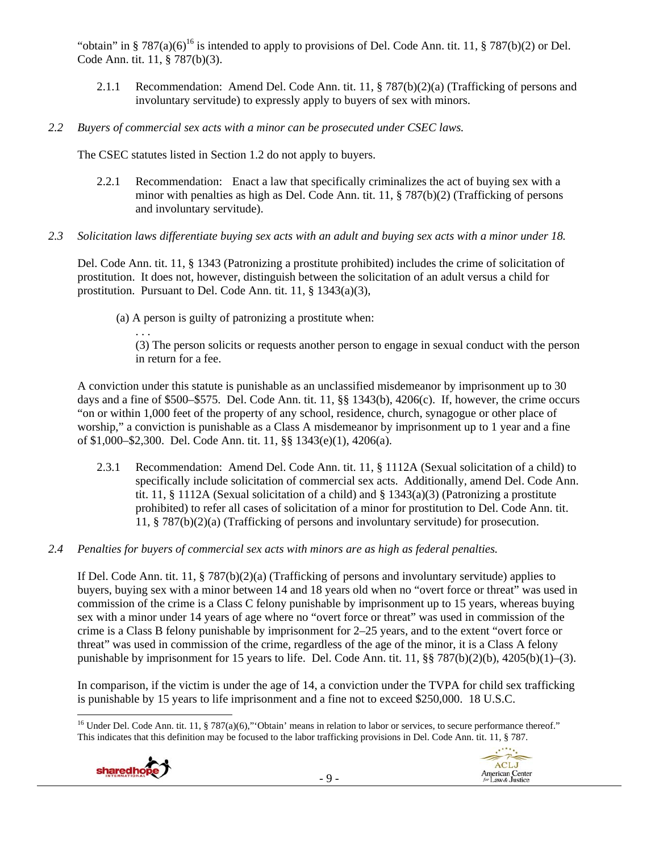"obtain" in § 787(a)(6)<sup>16</sup> is intended to apply to provisions of Del. Code Ann. tit. 11, § 787(b)(2) or Del. Code Ann. tit. 11, § 787(b)(3).

- 2.1.1 Recommendation: Amend Del. Code Ann. tit. 11, § 787(b)(2)(a) (Trafficking of persons and involuntary servitude) to expressly apply to buyers of sex with minors.
- *2.2 Buyers of commercial sex acts with a minor can be prosecuted under CSEC laws.*

The CSEC statutes listed in Section 1.2 do not apply to buyers.

- 2.2.1 Recommendation: Enact a law that specifically criminalizes the act of buying sex with a minor with penalties as high as Del. Code Ann. tit. 11, § 787(b)(2) (Trafficking of persons and involuntary servitude).
- *2.3 Solicitation laws differentiate buying sex acts with an adult and buying sex acts with a minor under 18.*

Del. Code Ann. tit. 11, § 1343 (Patronizing a prostitute prohibited) includes the crime of solicitation of prostitution. It does not, however, distinguish between the solicitation of an adult versus a child for prostitution. Pursuant to Del. Code Ann. tit. 11, § 1343(a)(3),

(a) A person is guilty of patronizing a prostitute when:

. . . (3) The person solicits or requests another person to engage in sexual conduct with the person in return for a fee.

A conviction under this statute is punishable as an unclassified misdemeanor by imprisonment up to 30 days and a fine of \$500–\$575. Del. Code Ann. tit. 11, §§ 1343(b), 4206(c). If, however, the crime occurs "on or within 1,000 feet of the property of any school, residence, church, synagogue or other place of worship," a conviction is punishable as a Class A misdemeanor by imprisonment up to 1 year and a fine of \$1,000–\$2,300. Del. Code Ann. tit. 11, §§ 1343(e)(1), 4206(a).

- 2.3.1 Recommendation: Amend Del. Code Ann. tit. 11, § 1112A (Sexual solicitation of a child) to specifically include solicitation of commercial sex acts. Additionally, amend Del. Code Ann. tit. 11, § 1112A (Sexual solicitation of a child) and § 1343(a)(3) (Patronizing a prostitute prohibited) to refer all cases of solicitation of a minor for prostitution to Del. Code Ann. tit. 11, § 787(b)(2)(a) (Trafficking of persons and involuntary servitude) for prosecution.
- *2.4 Penalties for buyers of commercial sex acts with minors are as high as federal penalties.*

If Del. Code Ann. tit. 11, § 787(b)(2)(a) (Trafficking of persons and involuntary servitude) applies to buyers, buying sex with a minor between 14 and 18 years old when no "overt force or threat" was used in commission of the crime is a Class C felony punishable by imprisonment up to 15 years, whereas buying sex with a minor under 14 years of age where no "overt force or threat" was used in commission of the crime is a Class B felony punishable by imprisonment for 2–25 years, and to the extent "overt force or threat" was used in commission of the crime, regardless of the age of the minor, it is a Class A felony punishable by imprisonment for 15 years to life. Del. Code Ann. tit. 11, §§ 787(b)(2)(b), 4205(b)(1)–(3).

In comparison, if the victim is under the age of 14, a conviction under the TVPA for child sex trafficking is punishable by 15 years to life imprisonment and a fine not to exceed \$250,000. 18 U.S.C.

<sup>&</sup>lt;sup>16</sup> Under Del. Code Ann. tit. 11, § 787(a)(6)," Obtain' means in relation to labor or services, to secure performance thereof." This indicates that this definition may be focused to the labor trafficking provisions in Del. Code Ann. tit. 11, § 787.



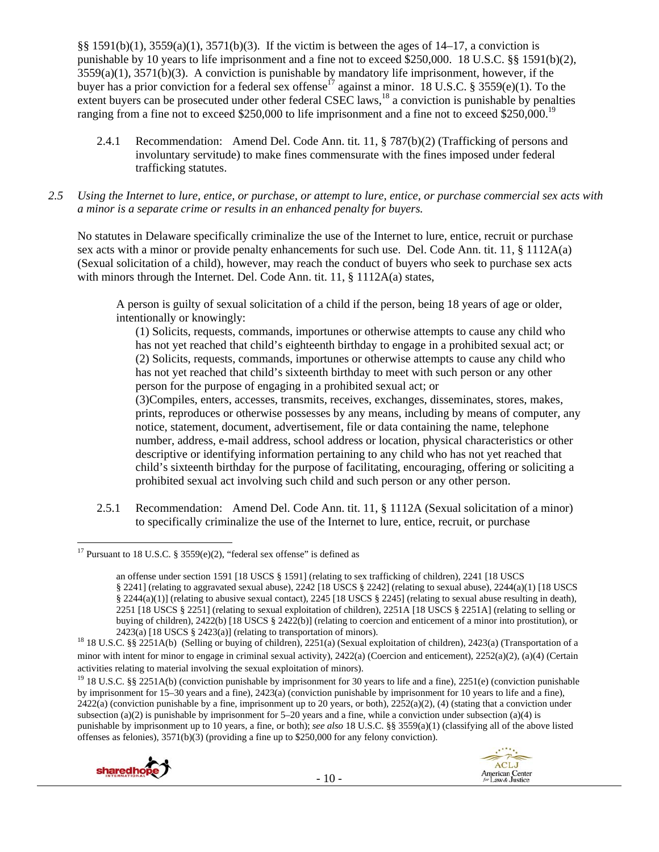§§ 1591(b)(1), 3559(a)(1), 3571(b)(3). If the victim is between the ages of 14–17, a conviction is punishable by 10 years to life imprisonment and a fine not to exceed \$250,000. 18 U.S.C. §§ 1591(b)(2),  $3559(a)(1)$ ,  $3571(b)(3)$ . A conviction is punishable by mandatory life imprisonment, however, if the buyer has a prior conviction for a federal sex offense<sup>17</sup> against a minor. 18 U.S.C. § 3559(e)(1). To the extent buyers can be prosecuted under other federal CSEC laws,<sup>18</sup> a conviction is punishable by penalties ranging from a fine not to exceed \$250,000 to life imprisonment and a fine not to exceed \$250,000.<sup>19</sup>

- 2.4.1 Recommendation: Amend Del. Code Ann. tit. 11, § 787(b)(2) (Trafficking of persons and involuntary servitude) to make fines commensurate with the fines imposed under federal trafficking statutes.
- *2.5 Using the Internet to lure, entice, or purchase, or attempt to lure, entice, or purchase commercial sex acts with a minor is a separate crime or results in an enhanced penalty for buyers.*

No statutes in Delaware specifically criminalize the use of the Internet to lure, entice, recruit or purchase sex acts with a minor or provide penalty enhancements for such use. Del. Code Ann. tit. 11, § 1112A(a) (Sexual solicitation of a child), however, may reach the conduct of buyers who seek to purchase sex acts with minors through the Internet. Del. Code Ann. tit. 11, § 1112A(a) states,

A person is guilty of sexual solicitation of a child if the person, being 18 years of age or older, intentionally or knowingly:

(1) Solicits, requests, commands, importunes or otherwise attempts to cause any child who has not yet reached that child's eighteenth birthday to engage in a prohibited sexual act; or (2) Solicits, requests, commands, importunes or otherwise attempts to cause any child who has not yet reached that child's sixteenth birthday to meet with such person or any other person for the purpose of engaging in a prohibited sexual act; or

(3)Compiles, enters, accesses, transmits, receives, exchanges, disseminates, stores, makes, prints, reproduces or otherwise possesses by any means, including by means of computer, any notice, statement, document, advertisement, file or data containing the name, telephone number, address, e-mail address, school address or location, physical characteristics or other descriptive or identifying information pertaining to any child who has not yet reached that child's sixteenth birthday for the purpose of facilitating, encouraging, offering or soliciting a prohibited sexual act involving such child and such person or any other person.

2.5.1 Recommendation: Amend Del. Code Ann. tit. 11, § 1112A (Sexual solicitation of a minor) to specifically criminalize the use of the Internet to lure, entice, recruit, or purchase

<sup>&</sup>lt;sup>19</sup> 18 U.S.C. §§ 2251A(b) (conviction punishable by imprisonment for 30 years to life and a fine), 2251(e) (conviction punishable by imprisonment for 15–30 years and a fine), 2423(a) (conviction punishable by imprisonment for 10 years to life and a fine),  $2422(a)$  (conviction punishable by a fine, imprisonment up to 20 years, or both),  $2252(a)(2)$ , (4) (stating that a conviction under subsection (a)(2) is punishable by imprisonment for  $5-20$  years and a fine, while a conviction under subsection (a)(4) is punishable by imprisonment up to 10 years, a fine, or both); *see also* 18 U.S.C. §§ 3559(a)(1) (classifying all of the above listed offenses as felonies), 3571(b)(3) (providing a fine up to \$250,000 for any felony conviction).



 <sup>17</sup> Pursuant to 18 U.S.C. § 3559 $(e)(2)$ , "federal sex offense" is defined as

an offense under section 1591 [18 USCS § 1591] (relating to sex trafficking of children), 2241 [18 USCS § 2241] (relating to aggravated sexual abuse), 2242 [18 USCS § 2242] (relating to sexual abuse), 2244(a)(1) [18 USCS § 2244(a)(1)] (relating to abusive sexual contact), 2245 [18 USCS § 2245] (relating to sexual abuse resulting in death), 2251 [18 USCS § 2251] (relating to sexual exploitation of children), 2251A [18 USCS § 2251A] (relating to selling or buying of children), 2422(b) [18 USCS § 2422(b)] (relating to coercion and enticement of a minor into prostitution), or

<sup>2423(</sup>a) [18 USCS § 2423(a)] (relating to transportation of minors).<br><sup>18</sup> 18 U.S.C. §§ 2251A(b) (Selling or buying of children), 2251(a) (Sexual exploitation of children), 2423(a) (Transportation of a minor with intent for minor to engage in criminal sexual activity), 2422(a) (Coercion and enticement), 2252(a)(2), (a)(4) (Certain activities relating to material involving the sexual exploitation of minors).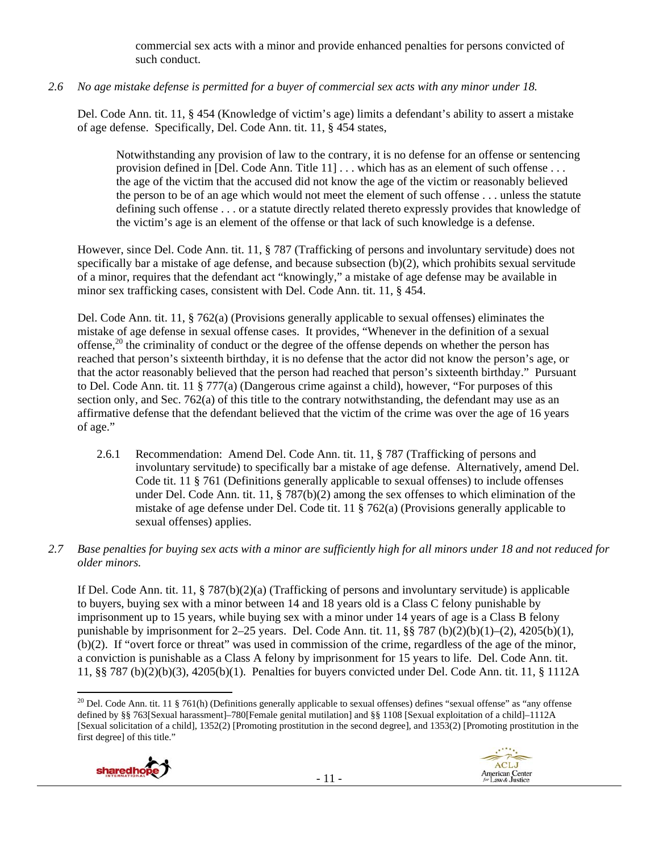commercial sex acts with a minor and provide enhanced penalties for persons convicted of such conduct.

# *2.6 No age mistake defense is permitted for a buyer of commercial sex acts with any minor under 18.*

Del. Code Ann. tit. 11, § 454 (Knowledge of victim's age) limits a defendant's ability to assert a mistake of age defense. Specifically, Del. Code Ann. tit. 11, § 454 states,

Notwithstanding any provision of law to the contrary, it is no defense for an offense or sentencing provision defined in [Del. Code Ann. Title 11] . . . which has as an element of such offense . . . the age of the victim that the accused did not know the age of the victim or reasonably believed the person to be of an age which would not meet the element of such offense . . . unless the statute defining such offense . . . or a statute directly related thereto expressly provides that knowledge of the victim's age is an element of the offense or that lack of such knowledge is a defense.

However, since Del. Code Ann. tit. 11, § 787 (Trafficking of persons and involuntary servitude) does not specifically bar a mistake of age defense, and because subsection (b)(2), which prohibits sexual servitude of a minor, requires that the defendant act "knowingly," a mistake of age defense may be available in minor sex trafficking cases, consistent with Del. Code Ann. tit. 11, § 454.

Del. Code Ann. tit. 11, § 762(a) (Provisions generally applicable to sexual offenses) eliminates the mistake of age defense in sexual offense cases. It provides, "Whenever in the definition of a sexual offense,<sup>20</sup> the criminality of conduct or the degree of the offense depends on whether the person has reached that person's sixteenth birthday, it is no defense that the actor did not know the person's age, or that the actor reasonably believed that the person had reached that person's sixteenth birthday." Pursuant to Del. Code Ann. tit. 11 § 777(a) (Dangerous crime against a child), however, "For purposes of this section only, and Sec. 762(a) of this title to the contrary notwithstanding, the defendant may use as an affirmative defense that the defendant believed that the victim of the crime was over the age of 16 years of age."

- 2.6.1 Recommendation: Amend Del. Code Ann. tit. 11, § 787 (Trafficking of persons and involuntary servitude) to specifically bar a mistake of age defense. Alternatively, amend Del. Code tit. 11 § 761 (Definitions generally applicable to sexual offenses) to include offenses under Del. Code Ann. tit. 11, § 787(b)(2) among the sex offenses to which elimination of the mistake of age defense under Del. Code tit. 11 § 762(a) (Provisions generally applicable to sexual offenses) applies.
- *2.7 Base penalties for buying sex acts with a minor are sufficiently high for all minors under 18 and not reduced for older minors.*

If Del. Code Ann. tit. 11, § 787(b)(2)(a) (Trafficking of persons and involuntary servitude) is applicable to buyers, buying sex with a minor between 14 and 18 years old is a Class C felony punishable by imprisonment up to 15 years, while buying sex with a minor under 14 years of age is a Class B felony punishable by imprisonment for  $2-25$  years. Del. Code Ann. tit. 11, §§ 787 (b)(2)(b)(1)–(2), 4205(b)(1), (b)(2). If "overt force or threat" was used in commission of the crime, regardless of the age of the minor, a conviction is punishable as a Class A felony by imprisonment for 15 years to life. Del. Code Ann. tit. 11, §§ 787 (b)(2)(b)(3), 4205(b)(1). Penalties for buyers convicted under Del. Code Ann. tit. 11, § 1112A

 <sup>20</sup> Del. Code Ann. tit. 11 § 761(h) (Definitions generally applicable to sexual offenses) defines "sexual offense" as "any offense defined by §§ 763[Sexual harassment]–780[Female genital mutilation] and §§ 1108 [Sexual exploitation of a child]–1112A [Sexual solicitation of a child], 1352(2) [Promoting prostitution in the second degree], and 1353(2) [Promoting prostitution in the first degree] of this title."

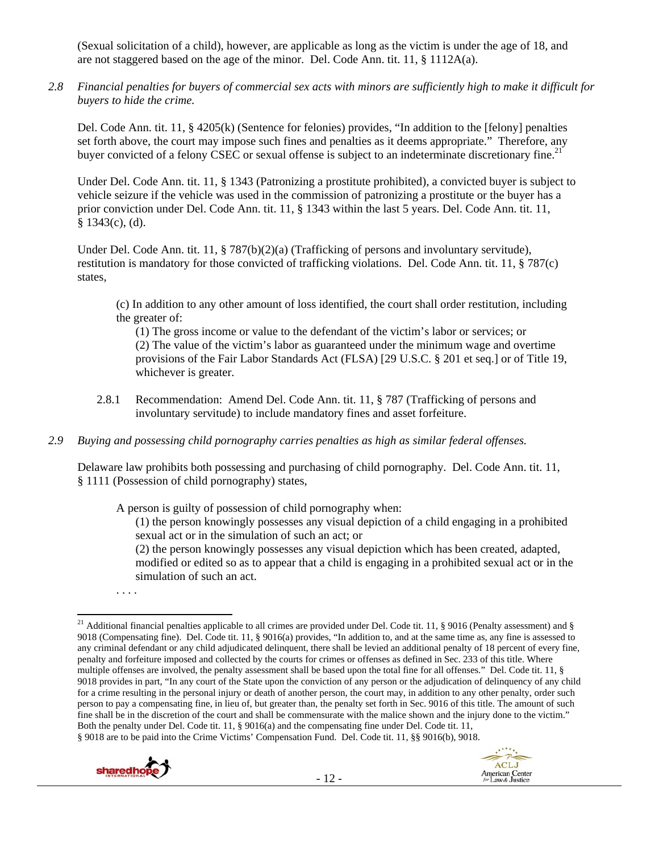(Sexual solicitation of a child), however, are applicable as long as the victim is under the age of 18, and are not staggered based on the age of the minor. Del. Code Ann. tit. 11, § 1112A(a).

*2.8 Financial penalties for buyers of commercial sex acts with minors are sufficiently high to make it difficult for buyers to hide the crime.* 

Del. Code Ann. tit. 11, § 4205(k) (Sentence for felonies) provides, "In addition to the [felony] penalties set forth above, the court may impose such fines and penalties as it deems appropriate." Therefore, any buyer convicted of a felony CSEC or sexual offense is subject to an indeterminate discretionary fine.<sup>21</sup>

Under Del. Code Ann. tit. 11, § 1343 (Patronizing a prostitute prohibited), a convicted buyer is subject to vehicle seizure if the vehicle was used in the commission of patronizing a prostitute or the buyer has a prior conviction under Del. Code Ann. tit. 11, § 1343 within the last 5 years. Del. Code Ann. tit. 11,  $§$  1343(c), (d).

Under Del. Code Ann. tit. 11, § 787(b)(2)(a) (Trafficking of persons and involuntary servitude), restitution is mandatory for those convicted of trafficking violations. Del. Code Ann. tit. 11, § 787(c) states,

(c) In addition to any other amount of loss identified, the court shall order restitution, including the greater of:

(1) The gross income or value to the defendant of the victim's labor or services; or (2) The value of the victim's labor as guaranteed under the minimum wage and overtime provisions of the Fair Labor Standards Act (FLSA) [29 U.S.C. § 201 et seq.] or of Title 19, whichever is greater.

- 2.8.1 Recommendation: Amend Del. Code Ann. tit. 11, § 787 (Trafficking of persons and involuntary servitude) to include mandatory fines and asset forfeiture.
- *2.9 Buying and possessing child pornography carries penalties as high as similar federal offenses.*

Delaware law prohibits both possessing and purchasing of child pornography. Del. Code Ann. tit. 11, § 1111 (Possession of child pornography) states,

A person is guilty of possession of child pornography when:

(1) the person knowingly possesses any visual depiction of a child engaging in a prohibited sexual act or in the simulation of such an act; or

(2) the person knowingly possesses any visual depiction which has been created, adapted, modified or edited so as to appear that a child is engaging in a prohibited sexual act or in the simulation of such an act.

. . . .

- 12 -





 <sup>21</sup> Additional financial penalties applicable to all crimes are provided under Del. Code tit. 11, § 9016 (Penalty assessment) and § 9018 (Compensating fine). Del. Code tit. 11, § 9016(a) provides, "In addition to, and at the same time as, any fine is assessed to any criminal defendant or any child adjudicated delinquent, there shall be levied an additional penalty of 18 percent of every fine, penalty and forfeiture imposed and collected by the courts for crimes or offenses as defined in Sec. 233 of this title. Where multiple offenses are involved, the penalty assessment shall be based upon the total fine for all offenses." Del. Code tit. 11, § 9018 provides in part, "In any court of the State upon the conviction of any person or the adjudication of delinquency of any child for a crime resulting in the personal injury or death of another person, the court may, in addition to any other penalty, order such person to pay a compensating fine, in lieu of, but greater than, the penalty set forth in Sec. 9016 of this title. The amount of such fine shall be in the discretion of the court and shall be commensurate with the malice shown and the injury done to the victim." Both the penalty under Del. Code tit. 11, § 9016(a) and the compensating fine under Del. Code tit. 11, § 9018 are to be paid into the Crime Victims' Compensation Fund. Del. Code tit. 11, §§ 9016(b), 9018.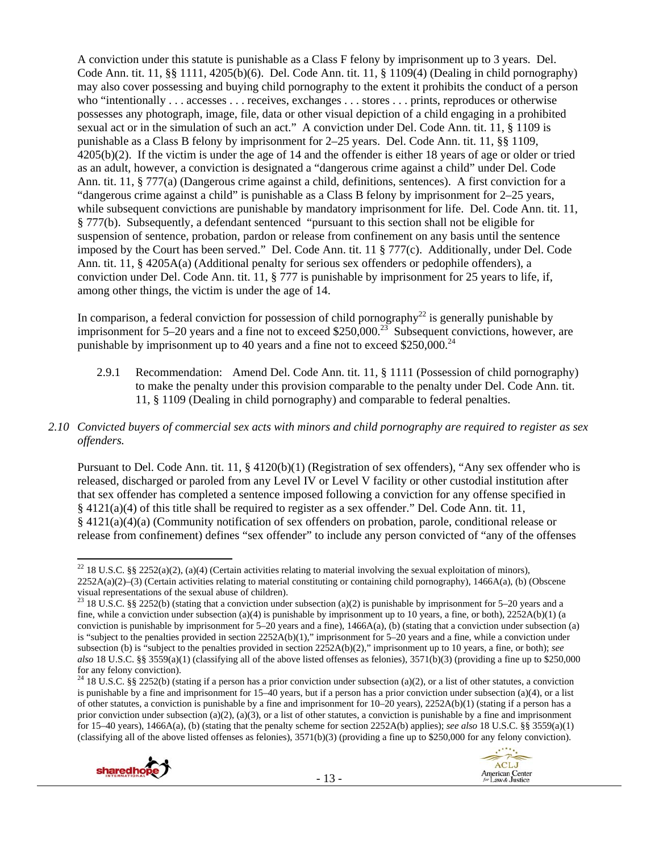A conviction under this statute is punishable as a Class F felony by imprisonment up to 3 years. Del. Code Ann. tit. 11, §§ 1111, 4205(b)(6). Del. Code Ann. tit. 11, § 1109(4) (Dealing in child pornography) may also cover possessing and buying child pornography to the extent it prohibits the conduct of a person who "intentionally . . . accesses . . . receives, exchanges . . . stores . . . prints, reproduces or otherwise possesses any photograph, image, file, data or other visual depiction of a child engaging in a prohibited sexual act or in the simulation of such an act." A conviction under Del. Code Ann. tit. 11, § 1109 is punishable as a Class B felony by imprisonment for 2–25 years. Del. Code Ann. tit. 11, §§ 1109, 4205(b)(2). If the victim is under the age of 14 and the offender is either 18 years of age or older or tried as an adult, however, a conviction is designated a "dangerous crime against a child" under Del. Code Ann. tit. 11, § 777(a) (Dangerous crime against a child, definitions, sentences). A first conviction for a "dangerous crime against a child" is punishable as a Class B felony by imprisonment for 2–25 years, while subsequent convictions are punishable by mandatory imprisonment for life. Del. Code Ann. tit. 11, § 777(b). Subsequently, a defendant sentenced "pursuant to this section shall not be eligible for suspension of sentence, probation, pardon or release from confinement on any basis until the sentence imposed by the Court has been served." Del. Code Ann. tit. 11 § 777(c). Additionally, under Del. Code Ann. tit. 11, § 4205A(a) (Additional penalty for serious sex offenders or pedophile offenders), a conviction under Del. Code Ann. tit. 11, § 777 is punishable by imprisonment for 25 years to life, if, among other things, the victim is under the age of 14.

In comparison, a federal conviction for possession of child pornography<sup>22</sup> is generally punishable by imprisonment for  $5-20$  years and a fine not to exceed \$250,000.<sup>23</sup> Subsequent convictions, however, are punishable by imprisonment up to 40 years and a fine not to exceed \$250,000.<sup>24</sup>

- 2.9.1 Recommendation: Amend Del. Code Ann. tit. 11, § 1111 (Possession of child pornography) to make the penalty under this provision comparable to the penalty under Del. Code Ann. tit. 11, § 1109 (Dealing in child pornography) and comparable to federal penalties.
- *2.10 Convicted buyers of commercial sex acts with minors and child pornography are required to register as sex offenders.*

Pursuant to Del. Code Ann. tit. 11, § 4120(b)(1) (Registration of sex offenders), "Any sex offender who is released, discharged or paroled from any Level IV or Level V facility or other custodial institution after that sex offender has completed a sentence imposed following a conviction for any offense specified in § 4121(a)(4) of this title shall be required to register as a sex offender." Del. Code Ann. tit. 11, § 4121(a)(4)(a) (Community notification of sex offenders on probation, parole, conditional release or release from confinement) defines "sex offender" to include any person convicted of "any of the offenses

<sup>&</sup>lt;sup>24</sup> 18 U.S.C. §§ 2252(b) (stating if a person has a prior conviction under subsection (a)(2), or a list of other statutes, a conviction is punishable by a fine and imprisonment for 15–40 years, but if a person has a prior conviction under subsection (a)(4), or a list of other statutes, a conviction is punishable by a fine and imprisonment for 10–20 years), 2252A(b)(1) (stating if a person has a prior conviction under subsection (a)(2), (a)(3), or a list of other statutes, a conviction is punishable by a fine and imprisonment for 15–40 years), 1466A(a), (b) (stating that the penalty scheme for section 2252A(b) applies); *see also* 18 U.S.C. §§ 3559(a)(1) (classifying all of the above listed offenses as felonies), 3571(b)(3) (providing a fine up to \$250,000 for any felony conviction).





  $^{22}$  18 U.S.C. §§ 2252(a)(2), (a)(4) (Certain activities relating to material involving the sexual exploitation of minors), 2252A(a)(2)–(3) (Certain activities relating to material constituting or containing child pornography), 1466A(a), (b) (Obscene visual representations of the sexual abuse of children).

<sup>&</sup>lt;sup>23</sup> 18 U.S.C. §§ 2252(b) (stating that a conviction under subsection (a)(2) is punishable by imprisonment for 5–20 years and a fine, while a conviction under subsection (a)(4) is punishable by imprisonment up to 10 years, a fine, or both),  $2252A(b)(1)$  (a conviction is punishable by imprisonment for 5–20 years and a fine), 1466A(a), (b) (stating that a conviction under subsection (a) is "subject to the penalties provided in section 2252A(b)(1)," imprisonment for 5–20 years and a fine, while a conviction under subsection (b) is "subject to the penalties provided in section 2252A(b)(2)," imprisonment up to 10 years, a fine, or both); *see also* 18 U.S.C. §§ 3559(a)(1) (classifying all of the above listed offenses as felonies), 3571(b)(3) (providing a fine up to \$250,000 for any felony conviction).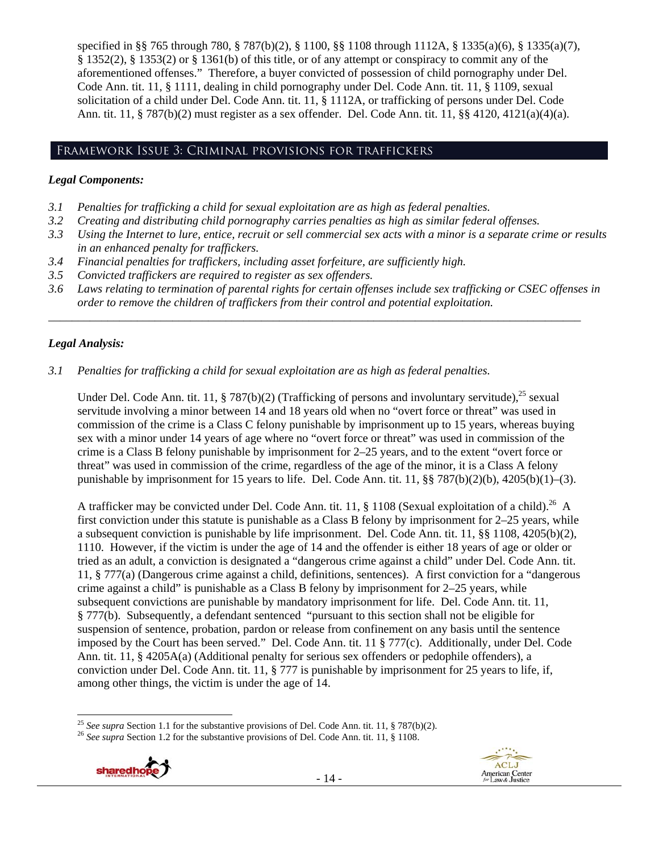specified in §§ 765 through 780, § 787(b)(2), § 1100, §§ 1108 through 1112A, § 1335(a)(6), § 1335(a)(7), § 1352(2), § 1353(2) or § 1361(b) of this title, or of any attempt or conspiracy to commit any of the aforementioned offenses." Therefore, a buyer convicted of possession of child pornography under Del. Code Ann. tit. 11, § 1111, dealing in child pornography under Del. Code Ann. tit. 11, § 1109, sexual solicitation of a child under Del. Code Ann. tit. 11, § 1112A, or trafficking of persons under Del. Code Ann. tit. 11, § 787(b)(2) must register as a sex offender. Del. Code Ann. tit. 11, §§ 4120, 4121(a)(4)(a).

# Framework Issue 3: Criminal provisions for traffickers

# *Legal Components:*

- *3.1 Penalties for trafficking a child for sexual exploitation are as high as federal penalties.*
- *3.2 Creating and distributing child pornography carries penalties as high as similar federal offenses.*
- *3.3 Using the Internet to lure, entice, recruit or sell commercial sex acts with a minor is a separate crime or results in an enhanced penalty for traffickers.*
- *3.4 Financial penalties for traffickers, including asset forfeiture, are sufficiently high.*
- *3.5 Convicted traffickers are required to register as sex offenders.*
- *3.6 Laws relating to termination of parental rights for certain offenses include sex trafficking or CSEC offenses in order to remove the children of traffickers from their control and potential exploitation.*

*\_\_\_\_\_\_\_\_\_\_\_\_\_\_\_\_\_\_\_\_\_\_\_\_\_\_\_\_\_\_\_\_\_\_\_\_\_\_\_\_\_\_\_\_\_\_\_\_\_\_\_\_\_\_\_\_\_\_\_\_\_\_\_\_\_\_\_\_\_\_\_\_\_\_\_\_\_\_\_\_\_\_\_\_\_\_\_\_\_\_* 

# *Legal Analysis:*

# *3.1 Penalties for trafficking a child for sexual exploitation are as high as federal penalties.*

Under Del. Code Ann. tit. 11, § 787(b)(2) (Trafficking of persons and involuntary servitude),<sup>25</sup> sexual servitude involving a minor between 14 and 18 years old when no "overt force or threat" was used in commission of the crime is a Class C felony punishable by imprisonment up to 15 years, whereas buying sex with a minor under 14 years of age where no "overt force or threat" was used in commission of the crime is a Class B felony punishable by imprisonment for 2–25 years, and to the extent "overt force or threat" was used in commission of the crime, regardless of the age of the minor, it is a Class A felony punishable by imprisonment for 15 years to life. Del. Code Ann. tit. 11, §§ 787(b)(2)(b), 4205(b)(1)–(3).

A trafficker may be convicted under Del. Code Ann. tit. 11, § 1108 (Sexual exploitation of a child).<sup>26</sup> A first conviction under this statute is punishable as a Class B felony by imprisonment for 2–25 years, while a subsequent conviction is punishable by life imprisonment. Del. Code Ann. tit. 11, §§ 1108, 4205(b)(2), 1110. However, if the victim is under the age of 14 and the offender is either 18 years of age or older or tried as an adult, a conviction is designated a "dangerous crime against a child" under Del. Code Ann. tit. 11, § 777(a) (Dangerous crime against a child, definitions, sentences). A first conviction for a "dangerous crime against a child" is punishable as a Class B felony by imprisonment for  $2-25$  years, while subsequent convictions are punishable by mandatory imprisonment for life. Del. Code Ann. tit. 11, § 777(b). Subsequently, a defendant sentenced "pursuant to this section shall not be eligible for suspension of sentence, probation, pardon or release from confinement on any basis until the sentence imposed by the Court has been served." Del. Code Ann. tit. 11 § 777(c). Additionally, under Del. Code Ann. tit. 11, § 4205A(a) (Additional penalty for serious sex offenders or pedophile offenders), a conviction under Del. Code Ann. tit. 11, § 777 is punishable by imprisonment for 25 years to life, if, among other things, the victim is under the age of 14.



 <sup>25</sup> *See supra* Section 1.1 for the substantive provisions of Del. Code Ann. tit. 11, § 787(b)(2). 26 *See supra* Section 1.2 for the substantive provisions of Del. Code Ann. tit. 11, § 1108.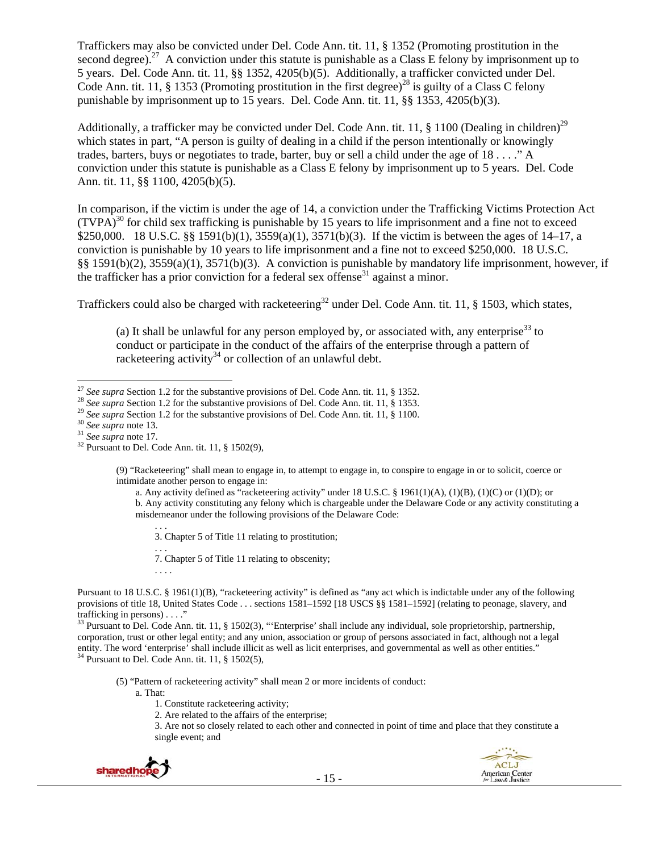Traffickers may also be convicted under Del. Code Ann. tit. 11, § 1352 (Promoting prostitution in the second degree).<sup>27</sup> A conviction under this statute is punishable as a Class E felony by imprisonment up to 5 years. Del. Code Ann. tit. 11, §§ 1352, 4205(b)(5). Additionally, a trafficker convicted under Del. Code Ann. tit. 11, § 1353 (Promoting prostitution in the first degree)<sup>28</sup> is guilty of a Class C felony punishable by imprisonment up to 15 years. Del. Code Ann. tit. 11, §§ 1353, 4205(b)(3).

Additionally, a trafficker may be convicted under Del. Code Ann. tit. 11, § 1100 (Dealing in children)<sup>29</sup> which states in part, "A person is guilty of dealing in a child if the person intentionally or knowingly trades, barters, buys or negotiates to trade, barter, buy or sell a child under the age of 18 . . . ." A conviction under this statute is punishable as a Class E felony by imprisonment up to 5 years. Del. Code Ann. tit. 11, §§ 1100, 4205(b)(5).

In comparison, if the victim is under the age of 14, a conviction under the Trafficking Victims Protection Act  $(TVPA)<sup>30</sup>$  for child sex trafficking is punishable by 15 years to life imprisonment and a fine not to exceed \$250,000. 18 U.S.C. §§ 1591(b)(1), 3559(a)(1), 3571(b)(3). If the victim is between the ages of 14–17, a conviction is punishable by 10 years to life imprisonment and a fine not to exceed \$250,000. 18 U.S.C. §§ 1591(b)(2), 3559(a)(1), 3571(b)(3). A conviction is punishable by mandatory life imprisonment, however, if the trafficker has a prior conviction for a federal sex offense<sup>31</sup> against a minor.

Traffickers could also be charged with racketeering<sup>32</sup> under Del. Code Ann. tit. 11, § 1503, which states,

(a) It shall be unlawful for any person employed by, or associated with, any enterprise<sup>33</sup> to conduct or participate in the conduct of the affairs of the enterprise through a pattern of racketeering activity<sup>34</sup> or collection of an unlawful debt.

(9) "Racketeering" shall mean to engage in, to attempt to engage in, to conspire to engage in or to solicit, coerce or intimidate another person to engage in:

a. Any activity defined as "racketeering activity" under 18 U.S.C. § 1961(1)(A), (1)(B), (1)(C) or (1)(D); or b. Any activity constituting any felony which is chargeable under the Delaware Code or any activity constituting a misdemeanor under the following provisions of the Delaware Code:

. . . 3. Chapter 5 of Title 11 relating to prostitution;

. . . 7. Chapter 5 of Title 11 relating to obscenity;

. . . .

Pursuant to 18 U.S.C. § 1961(1)(B), "racketeering activity" is defined as "any act which is indictable under any of the following provisions of title 18, United States Code . . . sections 1581–1592 [18 USCS §§ 1581–1592] (relating to peonage, slavery, and trafficking in persons) . . . ."

<sup>33</sup> Pursuant to Del. Code Ann. tit. 11, § 1502(3), "'Enterprise' shall include any individual, sole proprietorship, partnership, corporation, trust or other legal entity; and any union, association or group of persons associated in fact, although not a legal entity. The word 'enterprise' shall include illicit as well as licit enterprises, and governmental as well as other entities."  $34$  Pursuant to Del. Code Ann. tit. 11, § 1502(5),

(5) "Pattern of racketeering activity" shall mean 2 or more incidents of conduct:

a. That:

- 1. Constitute racketeering activity;
- 2. Are related to the affairs of the enterprise;

3. Are not so closely related to each other and connected in point of time and place that they constitute a single event; and





<sup>&</sup>lt;sup>27</sup> See supra Section 1.2 for the substantive provisions of Del. Code Ann. tit. 11, § 1352.

<sup>&</sup>lt;sup>28</sup> See supra Section 1.2 for the substantive provisions of Del. Code Ann. tit. 11, § 1353.<br><sup>29</sup> See supra Section 1.2 for the substantive provisions of Del. Code Ann. tit. 11, § 1100.<br><sup>30</sup> See supra note 13.<br><sup>31</sup> See su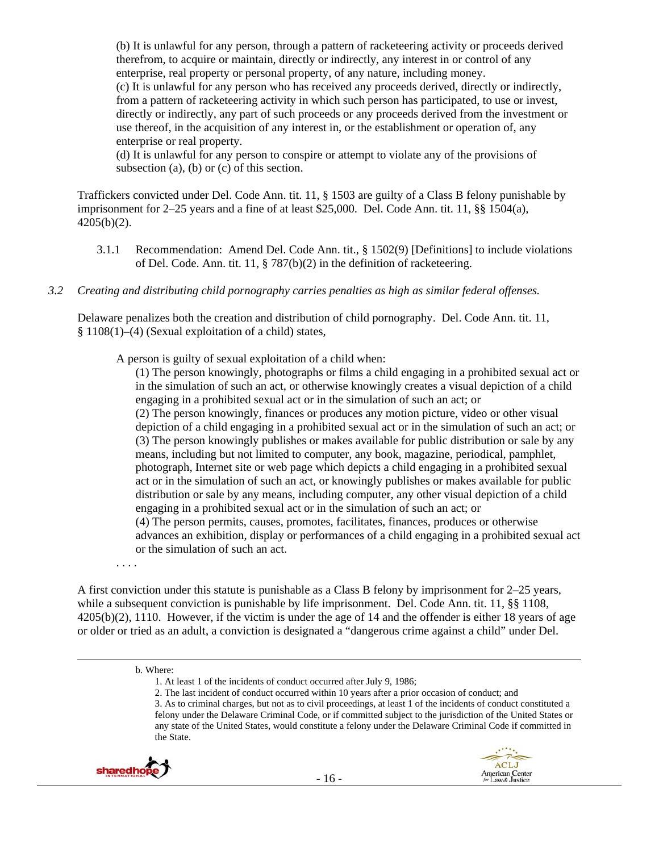(b) It is unlawful for any person, through a pattern of racketeering activity or proceeds derived therefrom, to acquire or maintain, directly or indirectly, any interest in or control of any enterprise, real property or personal property, of any nature, including money.

(c) It is unlawful for any person who has received any proceeds derived, directly or indirectly, from a pattern of racketeering activity in which such person has participated, to use or invest, directly or indirectly, any part of such proceeds or any proceeds derived from the investment or use thereof, in the acquisition of any interest in, or the establishment or operation of, any enterprise or real property.

(d) It is unlawful for any person to conspire or attempt to violate any of the provisions of subsection (a), (b) or (c) of this section.

Traffickers convicted under Del. Code Ann. tit. 11, § 1503 are guilty of a Class B felony punishable by imprisonment for 2–25 years and a fine of at least \$25,000. Del. Code Ann. tit. 11, §§ 1504(a), 4205(b)(2).

3.1.1 Recommendation: Amend Del. Code Ann. tit., § 1502(9) [Definitions] to include violations of Del. Code. Ann. tit. 11, § 787(b)(2) in the definition of racketeering.

#### *3.2 Creating and distributing child pornography carries penalties as high as similar federal offenses.*

Delaware penalizes both the creation and distribution of child pornography. Del. Code Ann. tit. 11, § 1108(1)–(4) (Sexual exploitation of a child) states,

A person is guilty of sexual exploitation of a child when:

(1) The person knowingly, photographs or films a child engaging in a prohibited sexual act or in the simulation of such an act, or otherwise knowingly creates a visual depiction of a child engaging in a prohibited sexual act or in the simulation of such an act; or (2) The person knowingly, finances or produces any motion picture, video or other visual depiction of a child engaging in a prohibited sexual act or in the simulation of such an act; or (3) The person knowingly publishes or makes available for public distribution or sale by any means, including but not limited to computer, any book, magazine, periodical, pamphlet, photograph, Internet site or web page which depicts a child engaging in a prohibited sexual act or in the simulation of such an act, or knowingly publishes or makes available for public distribution or sale by any means, including computer, any other visual depiction of a child engaging in a prohibited sexual act or in the simulation of such an act; or (4) The person permits, causes, promotes, facilitates, finances, produces or otherwise advances an exhibition, display or performances of a child engaging in a prohibited sexual act or the simulation of such an act.

. . . .

A first conviction under this statute is punishable as a Class B felony by imprisonment for 2–25 years, while a subsequent conviction is punishable by life imprisonment. Del. Code Ann. tit. 11, §§ 1108, 4205(b)(2), 1110. However, if the victim is under the age of 14 and the offender is either 18 years of age or older or tried as an adult, a conviction is designated a "dangerous crime against a child" under Del.

2. The last incident of conduct occurred within 10 years after a prior occasion of conduct; and

<sup>3.</sup> As to criminal charges, but not as to civil proceedings, at least 1 of the incidents of conduct constituted a felony under the Delaware Criminal Code, or if committed subject to the jurisdiction of the United States or any state of the United States, would constitute a felony under the Delaware Criminal Code if committed in the State.





<sup>&</sup>lt;u> Andrewski politika (za obrazu pod predsjednika u predsjednika u predsjednika u predsjednika (za obrazu pod p</u> b. Where:

<sup>1.</sup> At least 1 of the incidents of conduct occurred after July 9, 1986;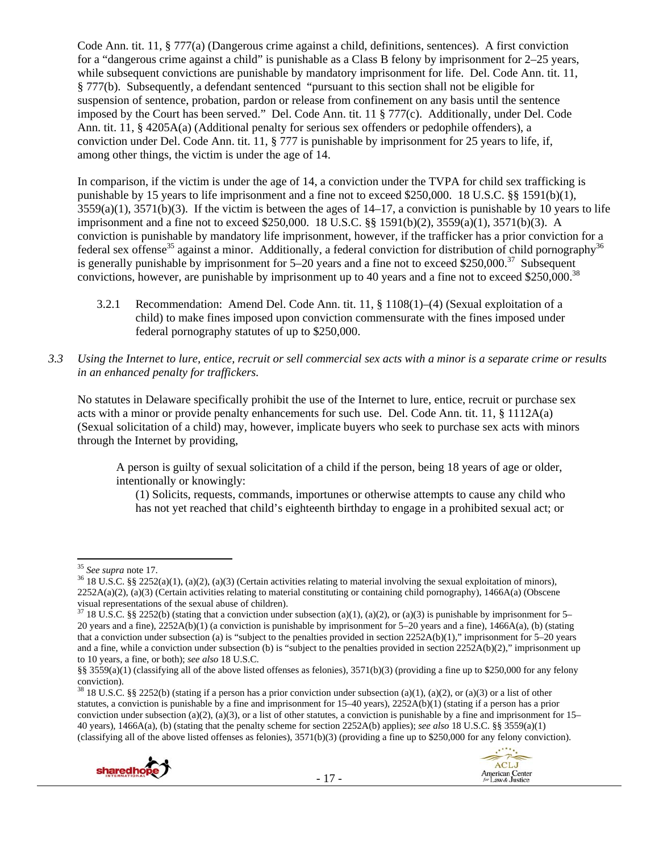Code Ann. tit. 11, § 777(a) (Dangerous crime against a child, definitions, sentences). A first conviction for a "dangerous crime against a child" is punishable as a Class B felony by imprisonment for 2–25 years, while subsequent convictions are punishable by mandatory imprisonment for life. Del. Code Ann. tit. 11, § 777(b). Subsequently, a defendant sentenced "pursuant to this section shall not be eligible for suspension of sentence, probation, pardon or release from confinement on any basis until the sentence imposed by the Court has been served." Del. Code Ann. tit. 11 § 777(c). Additionally, under Del. Code Ann. tit. 11, § 4205A(a) (Additional penalty for serious sex offenders or pedophile offenders), a conviction under Del. Code Ann. tit. 11, § 777 is punishable by imprisonment for 25 years to life, if, among other things, the victim is under the age of 14.

In comparison, if the victim is under the age of 14, a conviction under the TVPA for child sex trafficking is punishable by 15 years to life imprisonment and a fine not to exceed \$250,000. 18 U.S.C. §§ 1591(b)(1),  $3559(a)(1)$ ,  $3571(b)(3)$ . If the victim is between the ages of  $14-17$ , a conviction is punishable by 10 years to life imprisonment and a fine not to exceed \$250,000. 18 U.S.C. §§ 1591(b)(2), 3559(a)(1), 3571(b)(3). A conviction is punishable by mandatory life imprisonment, however, if the trafficker has a prior conviction for a federal sex offense<sup>35</sup> against a minor. Additionally, a federal conviction for distribution of child pornography<sup>36</sup> is generally punishable by imprisonment for  $5-20$  years and a fine not to exceed \$250,000.<sup>37</sup> Subsequent convictions, however, are punishable by imprisonment up to 40 years and a fine not to exceed \$250,000.38

- 3.2.1 Recommendation: Amend Del. Code Ann. tit. 11, § 1108(1)–(4) (Sexual exploitation of a child) to make fines imposed upon conviction commensurate with the fines imposed under federal pornography statutes of up to \$250,000.
- *3.3 Using the Internet to lure, entice, recruit or sell commercial sex acts with a minor is a separate crime or results in an enhanced penalty for traffickers.*

No statutes in Delaware specifically prohibit the use of the Internet to lure, entice, recruit or purchase sex acts with a minor or provide penalty enhancements for such use. Del. Code Ann. tit. 11, § 1112A(a) (Sexual solicitation of a child) may, however, implicate buyers who seek to purchase sex acts with minors through the Internet by providing,

A person is guilty of sexual solicitation of a child if the person, being 18 years of age or older, intentionally or knowingly:

(1) Solicits, requests, commands, importunes or otherwise attempts to cause any child who has not yet reached that child's eighteenth birthday to engage in a prohibited sexual act; or

<sup>&</sup>lt;sup>38</sup> 18 U.S.C. §§ 2252(b) (stating if a person has a prior conviction under subsection (a)(1), (a)(2), or (a)(3) or a list of other statutes, a conviction is punishable by a fine and imprisonment for 15–40 years), 2252A(b)(1) (stating if a person has a prior conviction under subsection (a)(2), (a)(3), or a list of other statutes, a conviction is punishable by a fine and imprisonment for  $15-$ 40 years), 1466A(a), (b) (stating that the penalty scheme for section 2252A(b) applies); *see also* 18 U.S.C. §§ 3559(a)(1) (classifying all of the above listed offenses as felonies), 3571(b)(3) (providing a fine up to \$250,000 for any felony conviction).





 $^{35}$  See supra note 17.

<sup>&</sup>lt;sup>36</sup> 18 U.S.C. §§ 2252(a)(1), (a)(2), (a)(3) (Certain activities relating to material involving the sexual exploitation of minors),  $2252A(a)(2)$ , (a)(3) (Certain activities relating to material constituting or containing child pornography), 1466A(a) (Obscene visual representations of the sexual abuse of children).

 $37$  18 U.S.C. §§ 2252(b) (stating that a conviction under subsection (a)(1), (a)(2), or (a)(3) is punishable by imprisonment for 5– 20 years and a fine), 2252A(b)(1) (a conviction is punishable by imprisonment for 5–20 years and a fine), 1466A(a), (b) (stating that a conviction under subsection (a) is "subject to the penalties provided in section 2252A(b)(1)," imprisonment for 5–20 years and a fine, while a conviction under subsection (b) is "subject to the penalties provided in section  $2252A(b)(2)$ ," imprisonment up to 10 years, a fine, or both); *see also* 18 U.S.C.

<sup>§§ 3559(</sup>a)(1) (classifying all of the above listed offenses as felonies), 3571(b)(3) (providing a fine up to \$250,000 for any felony conviction).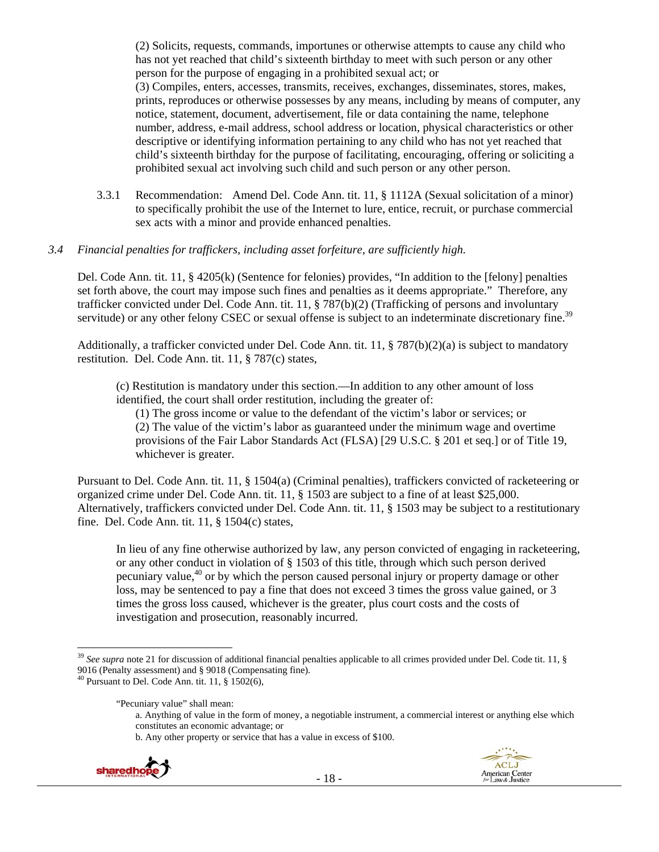(2) Solicits, requests, commands, importunes or otherwise attempts to cause any child who has not yet reached that child's sixteenth birthday to meet with such person or any other person for the purpose of engaging in a prohibited sexual act; or (3) Compiles, enters, accesses, transmits, receives, exchanges, disseminates, stores, makes, prints, reproduces or otherwise possesses by any means, including by means of computer, any notice, statement, document, advertisement, file or data containing the name, telephone number, address, e-mail address, school address or location, physical characteristics or other descriptive or identifying information pertaining to any child who has not yet reached that child's sixteenth birthday for the purpose of facilitating, encouraging, offering or soliciting a prohibited sexual act involving such child and such person or any other person.

3.3.1 Recommendation: Amend Del. Code Ann. tit. 11, § 1112A (Sexual solicitation of a minor) to specifically prohibit the use of the Internet to lure, entice, recruit, or purchase commercial sex acts with a minor and provide enhanced penalties.

#### *3.4 Financial penalties for traffickers, including asset forfeiture, are sufficiently high.*

Del. Code Ann. tit. 11, § 4205(k) (Sentence for felonies) provides, "In addition to the [felony] penalties set forth above, the court may impose such fines and penalties as it deems appropriate." Therefore, any trafficker convicted under Del. Code Ann. tit. 11, § 787(b)(2) (Trafficking of persons and involuntary servitude) or any other felony CSEC or sexual offense is subject to an indeterminate discretionary fine.<sup>39</sup>

Additionally, a trafficker convicted under Del. Code Ann. tit. 11,  $\S 787(b)(2)(a)$  is subject to mandatory restitution. Del. Code Ann. tit. 11, § 787(c) states,

(c) Restitution is mandatory under this section.—In addition to any other amount of loss identified, the court shall order restitution, including the greater of:

(1) The gross income or value to the defendant of the victim's labor or services; or (2) The value of the victim's labor as guaranteed under the minimum wage and overtime provisions of the Fair Labor Standards Act (FLSA) [29 U.S.C. § 201 et seq.] or of Title 19, whichever is greater.

Pursuant to Del. Code Ann. tit. 11, § 1504(a) (Criminal penalties), traffickers convicted of racketeering or organized crime under Del. Code Ann. tit. 11, § 1503 are subject to a fine of at least \$25,000. Alternatively, traffickers convicted under Del. Code Ann. tit. 11, § 1503 may be subject to a restitutionary fine. Del. Code Ann. tit. 11, § 1504(c) states,

In lieu of any fine otherwise authorized by law, any person convicted of engaging in racketeering, or any other conduct in violation of § 1503 of this title, through which such person derived pecuniary value,  $40$  or by which the person caused personal injury or property damage or other loss, may be sentenced to pay a fine that does not exceed 3 times the gross value gained, or 3 times the gross loss caused, whichever is the greater, plus court costs and the costs of investigation and prosecution, reasonably incurred.

"Pecuniary value" shall mean:

b. Any other property or service that has a value in excess of \$100.





<sup>39</sup> *See supra* note 21 for discussion of additional financial penalties applicable to all crimes provided under Del. Code tit. 11, § 9016 (Penalty assessment) and § 9018 (Compensating fine). 40 Pursuant to Del. Code Ann. tit. 11, § 1502(6),

a. Anything of value in the form of money, a negotiable instrument, a commercial interest or anything else which constitutes an economic advantage; or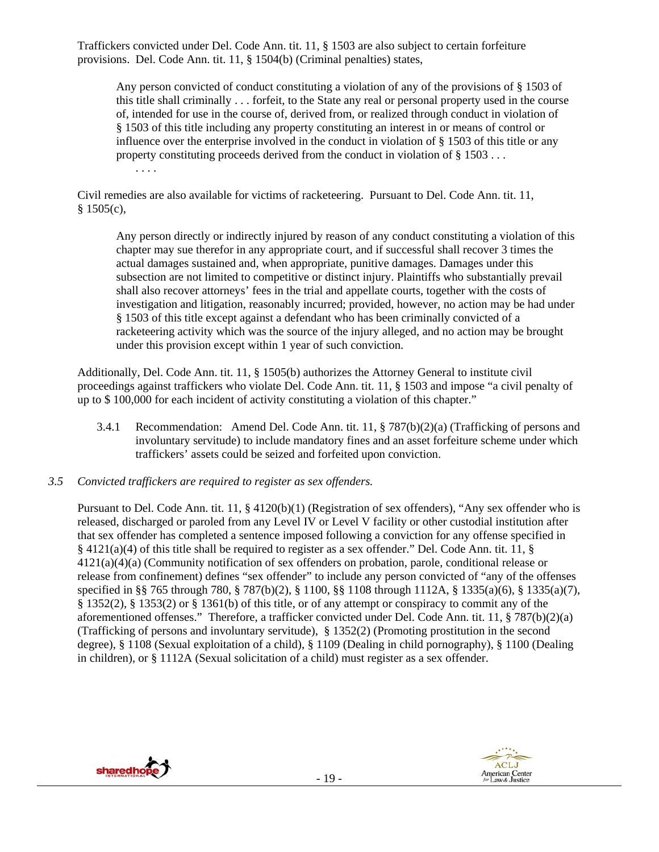Traffickers convicted under Del. Code Ann. tit. 11, § 1503 are also subject to certain forfeiture provisions. Del. Code Ann. tit. 11, § 1504(b) (Criminal penalties) states,

Any person convicted of conduct constituting a violation of any of the provisions of § 1503 of this title shall criminally . . . forfeit, to the State any real or personal property used in the course of, intended for use in the course of, derived from, or realized through conduct in violation of § 1503 of this title including any property constituting an interest in or means of control or influence over the enterprise involved in the conduct in violation of § 1503 of this title or any property constituting proceeds derived from the conduct in violation of § 1503 . . . . . . .

Civil remedies are also available for victims of racketeering. Pursuant to Del. Code Ann. tit. 11,  $§$  1505(c),

Any person directly or indirectly injured by reason of any conduct constituting a violation of this chapter may sue therefor in any appropriate court, and if successful shall recover 3 times the actual damages sustained and, when appropriate, punitive damages. Damages under this subsection are not limited to competitive or distinct injury. Plaintiffs who substantially prevail shall also recover attorneys' fees in the trial and appellate courts, together with the costs of investigation and litigation, reasonably incurred; provided, however, no action may be had under § 1503 of this title except against a defendant who has been criminally convicted of a racketeering activity which was the source of the injury alleged, and no action may be brought under this provision except within 1 year of such conviction.

Additionally, Del. Code Ann. tit. 11, § 1505(b) authorizes the Attorney General to institute civil proceedings against traffickers who violate Del. Code Ann. tit. 11, § 1503 and impose "a civil penalty of up to \$ 100,000 for each incident of activity constituting a violation of this chapter."

3.4.1 Recommendation: Amend Del. Code Ann. tit. 11, § 787(b)(2)(a) (Trafficking of persons and involuntary servitude) to include mandatory fines and an asset forfeiture scheme under which traffickers' assets could be seized and forfeited upon conviction.

#### *3.5 Convicted traffickers are required to register as sex offenders.*

Pursuant to Del. Code Ann. tit. 11, § 4120(b)(1) (Registration of sex offenders), "Any sex offender who is released, discharged or paroled from any Level IV or Level V facility or other custodial institution after that sex offender has completed a sentence imposed following a conviction for any offense specified in  $\S$  4121(a)(4) of this title shall be required to register as a sex offender." Del. Code Ann. tit. 11,  $\S$ 4121(a)(4)(a) (Community notification of sex offenders on probation, parole, conditional release or release from confinement) defines "sex offender" to include any person convicted of "any of the offenses specified in §§ 765 through 780, § 787(b)(2), § 1100, §§ 1108 through 1112A, § 1335(a)(6), § 1335(a)(7), § 1352(2), § 1353(2) or § 1361(b) of this title, or of any attempt or conspiracy to commit any of the aforementioned offenses." Therefore, a trafficker convicted under Del. Code Ann. tit. 11, § 787(b)(2)(a) (Trafficking of persons and involuntary servitude), § 1352(2) (Promoting prostitution in the second degree), § 1108 (Sexual exploitation of a child), § 1109 (Dealing in child pornography), § 1100 (Dealing in children), or § 1112A (Sexual solicitation of a child) must register as a sex offender.

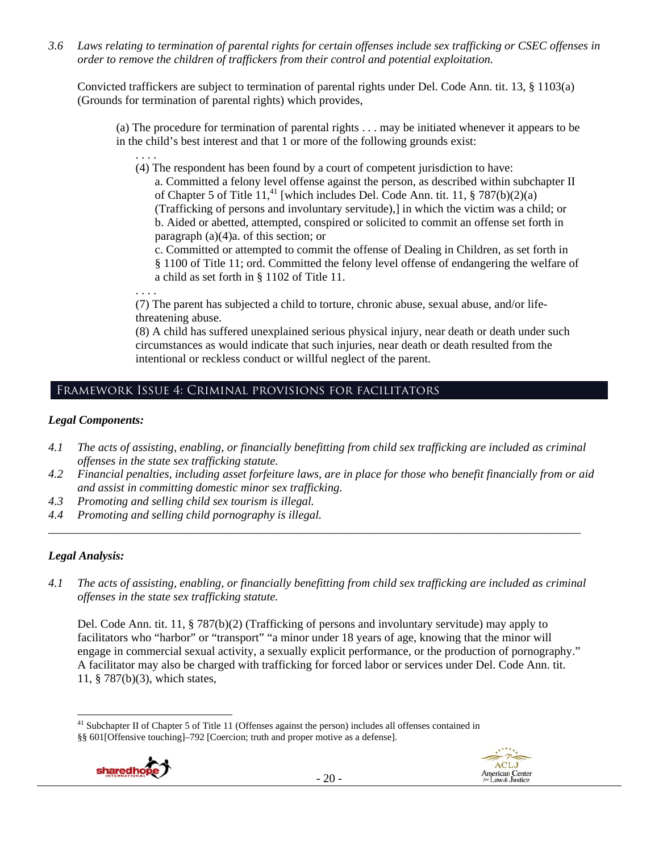*3.6 Laws relating to termination of parental rights for certain offenses include sex trafficking or CSEC offenses in order to remove the children of traffickers from their control and potential exploitation.* 

Convicted traffickers are subject to termination of parental rights under Del. Code Ann. tit. 13, § 1103(a) (Grounds for termination of parental rights) which provides,

(a) The procedure for termination of parental rights . . . may be initiated whenever it appears to be in the child's best interest and that 1 or more of the following grounds exist:

(4) The respondent has been found by a court of competent jurisdiction to have:

a. Committed a felony level offense against the person, as described within subchapter II of Chapter 5 of Title  $11<sup>41</sup>$  [which includes Del. Code Ann. tit. 11, § 787(b)(2)(a) (Trafficking of persons and involuntary servitude),] in which the victim was a child; or b. Aided or abetted, attempted, conspired or solicited to commit an offense set forth in paragraph (a)(4)a. of this section; or

c. Committed or attempted to commit the offense of Dealing in Children, as set forth in § 1100 of Title 11; ord. Committed the felony level offense of endangering the welfare of a child as set forth in § 1102 of Title 11.

. . . .

. . . .

(7) The parent has subjected a child to torture, chronic abuse, sexual abuse, and/or lifethreatening abuse.

(8) A child has suffered unexplained serious physical injury, near death or death under such circumstances as would indicate that such injuries, near death or death resulted from the intentional or reckless conduct or willful neglect of the parent.

# Framework Issue 4: Criminal provisions for facilitators

#### *Legal Components:*

- *4.1 The acts of assisting, enabling, or financially benefitting from child sex trafficking are included as criminal offenses in the state sex trafficking statute.*
- *4.2 Financial penalties, including asset forfeiture laws, are in place for those who benefit financially from or aid and assist in committing domestic minor sex trafficking.*
- *4.3 Promoting and selling child sex tourism is illegal.*
- *4.4 Promoting and selling child pornography is illegal.*

# *Legal Analysis:*

*4.1 The acts of assisting, enabling, or financially benefitting from child sex trafficking are included as criminal offenses in the state sex trafficking statute.* 

*\_\_\_\_\_\_\_\_\_\_\_\_\_\_\_\_\_\_\_\_\_\_\_\_\_\_\_\_\_\_\_\_\_\_\_\_\_\_\_\_\_\_\_\_\_\_\_\_\_\_\_\_\_\_\_\_\_\_\_\_\_\_\_\_\_\_\_\_\_\_\_\_\_\_\_\_\_\_\_\_\_\_\_\_\_\_\_\_\_\_* 

Del. Code Ann. tit. 11, § 787(b)(2) (Trafficking of persons and involuntary servitude) may apply to facilitators who "harbor" or "transport" "a minor under 18 years of age, knowing that the minor will engage in commercial sexual activity, a sexually explicit performance, or the production of pornography." A facilitator may also be charged with trafficking for forced labor or services under Del. Code Ann. tit. 11, § 787(b)(3), which states,

 <sup>41</sup> Subchapter II of Chapter 5 of Title 11 (Offenses against the person) includes all offenses contained in §§ 601[Offensive touching]–792 [Coercion; truth and proper motive as a defense].



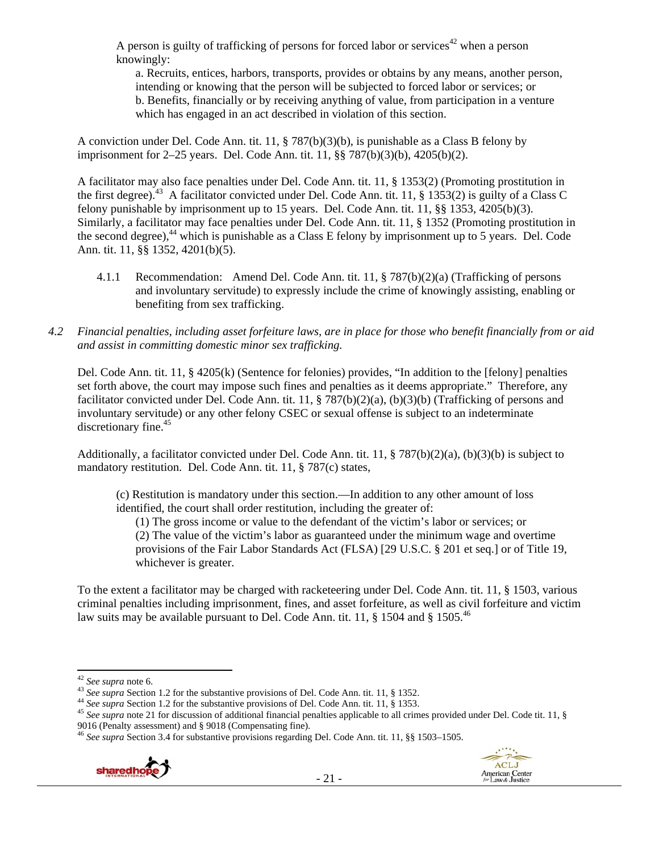A person is guilty of trafficking of persons for forced labor or services<sup>42</sup> when a person knowingly:

a. Recruits, entices, harbors, transports, provides or obtains by any means, another person, intending or knowing that the person will be subjected to forced labor or services; or b. Benefits, financially or by receiving anything of value, from participation in a venture which has engaged in an act described in violation of this section.

A conviction under Del. Code Ann. tit. 11, § 787(b)(3)(b), is punishable as a Class B felony by imprisonment for 2–25 years. Del. Code Ann. tit. 11, §§ 787(b)(3)(b), 4205(b)(2).

A facilitator may also face penalties under Del. Code Ann. tit. 11, § 1353(2) (Promoting prostitution in the first degree).<sup>43</sup> A facilitator convicted under Del. Code Ann. tit. 11, § 1353(2) is guilty of a Class C felony punishable by imprisonment up to 15 years. Del. Code Ann. tit. 11, §§ 1353, 4205(b)(3). Similarly, a facilitator may face penalties under Del. Code Ann. tit. 11, § 1352 (Promoting prostitution in the second degree), $44$  which is punishable as a Class E felony by imprisonment up to 5 years. Del. Code Ann. tit. 11, §§ 1352, 4201(b)(5).

- 4.1.1 Recommendation: Amend Del. Code Ann. tit. 11, § 787(b)(2)(a) (Trafficking of persons and involuntary servitude) to expressly include the crime of knowingly assisting, enabling or benefiting from sex trafficking.
- *4.2 Financial penalties, including asset forfeiture laws, are in place for those who benefit financially from or aid and assist in committing domestic minor sex trafficking.*

Del. Code Ann. tit. 11, § 4205(k) (Sentence for felonies) provides, "In addition to the [felony] penalties set forth above, the court may impose such fines and penalties as it deems appropriate." Therefore, any facilitator convicted under Del. Code Ann. tit. 11, § 787(b)(2)(a), (b)(3)(b) (Trafficking of persons and involuntary servitude) or any other felony CSEC or sexual offense is subject to an indeterminate discretionary fine.<sup>45</sup>

Additionally, a facilitator convicted under Del. Code Ann. tit. 11, § 787(b)(2)(a), (b)(3)(b) is subject to mandatory restitution. Del. Code Ann. tit. 11, § 787(c) states,

(c) Restitution is mandatory under this section.—In addition to any other amount of loss identified, the court shall order restitution, including the greater of:

(1) The gross income or value to the defendant of the victim's labor or services; or (2) The value of the victim's labor as guaranteed under the minimum wage and overtime provisions of the Fair Labor Standards Act (FLSA) [29 U.S.C. § 201 et seq.] or of Title 19, whichever is greater.

To the extent a facilitator may be charged with racketeering under Del. Code Ann. tit. 11, § 1503, various criminal penalties including imprisonment, fines, and asset forfeiture, as well as civil forfeiture and victim law suits may be available pursuant to Del. Code Ann. tit. 11,  $\S$  1504 and  $\S$  1505.<sup>46</sup>

<sup>&</sup>lt;sup>46</sup> See supra Section 3.4 for substantive provisions regarding Del. Code Ann. tit. 11, §§ 1503-1505.



<sup>&</sup>lt;sup>42</sup> See supra note 6.<br><sup>43</sup> See supra Section 1.2 for the substantive provisions of Del. Code Ann. tit. 11, § 1352.<br><sup>44</sup> See supra Section 1.2 for the substantive provisions of Del. Code Ann. tit. 11, § 1353.<br><sup>45</sup> See sup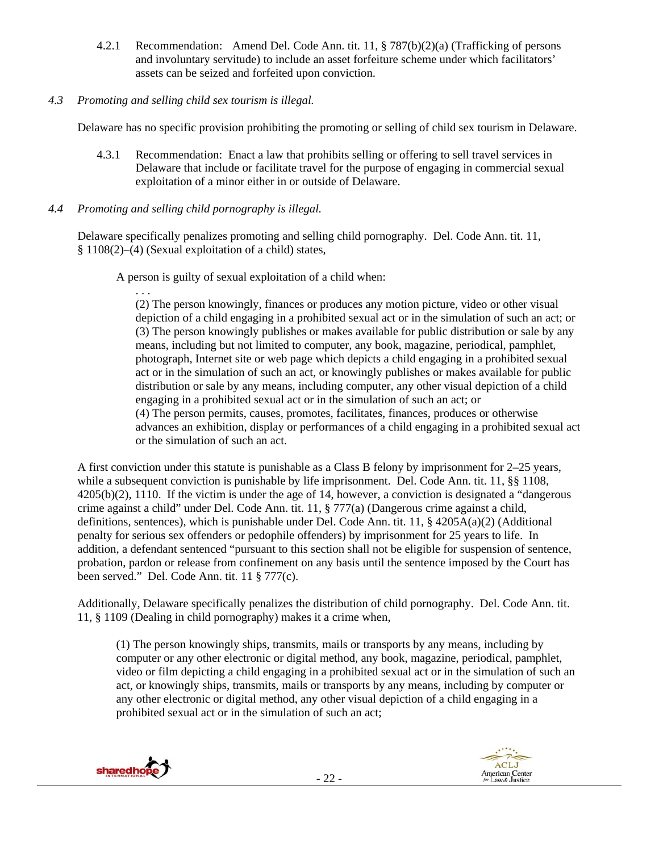4.2.1 Recommendation: Amend Del. Code Ann. tit. 11, § 787(b)(2)(a) (Trafficking of persons and involuntary servitude) to include an asset forfeiture scheme under which facilitators' assets can be seized and forfeited upon conviction.

# *4.3 Promoting and selling child sex tourism is illegal.*

Delaware has no specific provision prohibiting the promoting or selling of child sex tourism in Delaware.

4.3.1 Recommendation: Enact a law that prohibits selling or offering to sell travel services in Delaware that include or facilitate travel for the purpose of engaging in commercial sexual exploitation of a minor either in or outside of Delaware.

# *4.4 Promoting and selling child pornography is illegal.*

Delaware specifically penalizes promoting and selling child pornography. Del. Code Ann. tit. 11, § 1108(2)–(4) (Sexual exploitation of a child) states,

A person is guilty of sexual exploitation of a child when:

. . . (2) The person knowingly, finances or produces any motion picture, video or other visual depiction of a child engaging in a prohibited sexual act or in the simulation of such an act; or (3) The person knowingly publishes or makes available for public distribution or sale by any means, including but not limited to computer, any book, magazine, periodical, pamphlet, photograph, Internet site or web page which depicts a child engaging in a prohibited sexual act or in the simulation of such an act, or knowingly publishes or makes available for public distribution or sale by any means, including computer, any other visual depiction of a child engaging in a prohibited sexual act or in the simulation of such an act; or (4) The person permits, causes, promotes, facilitates, finances, produces or otherwise advances an exhibition, display or performances of a child engaging in a prohibited sexual act or the simulation of such an act.

A first conviction under this statute is punishable as a Class B felony by imprisonment for 2–25 years, while a subsequent conviction is punishable by life imprisonment. Del. Code Ann. tit. 11, §§ 1108, 4205(b)(2), 1110. If the victim is under the age of 14, however, a conviction is designated a "dangerous crime against a child" under Del. Code Ann. tit. 11, § 777(a) (Dangerous crime against a child, definitions, sentences), which is punishable under Del. Code Ann. tit. 11, § 4205A(a)(2) (Additional penalty for serious sex offenders or pedophile offenders) by imprisonment for 25 years to life. In addition, a defendant sentenced "pursuant to this section shall not be eligible for suspension of sentence, probation, pardon or release from confinement on any basis until the sentence imposed by the Court has been served." Del. Code Ann. tit. 11 § 777(c).

Additionally, Delaware specifically penalizes the distribution of child pornography. Del. Code Ann. tit. 11, § 1109 (Dealing in child pornography) makes it a crime when,

(1) The person knowingly ships, transmits, mails or transports by any means, including by computer or any other electronic or digital method, any book, magazine, periodical, pamphlet, video or film depicting a child engaging in a prohibited sexual act or in the simulation of such an act, or knowingly ships, transmits, mails or transports by any means, including by computer or any other electronic or digital method, any other visual depiction of a child engaging in a prohibited sexual act or in the simulation of such an act;



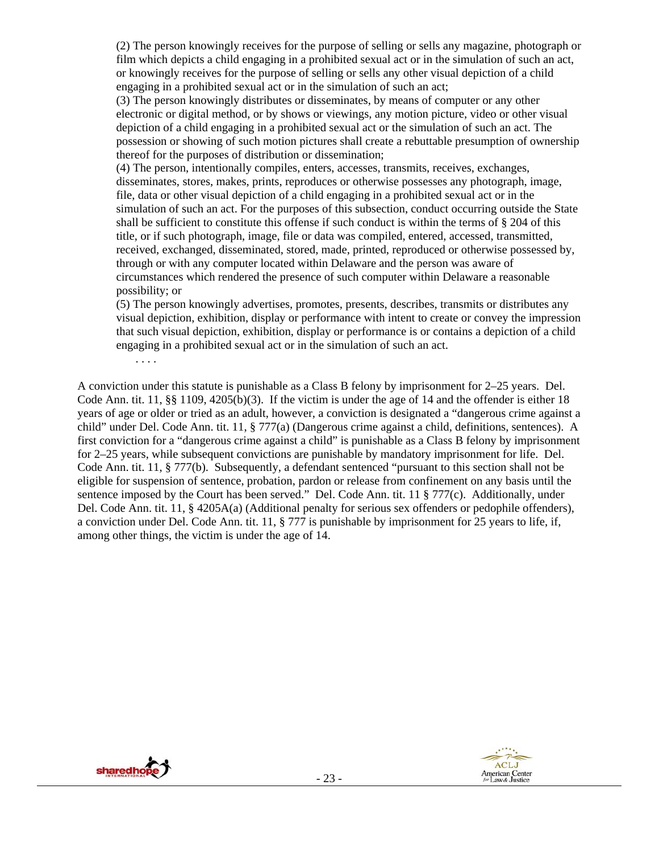(2) The person knowingly receives for the purpose of selling or sells any magazine, photograph or film which depicts a child engaging in a prohibited sexual act or in the simulation of such an act, or knowingly receives for the purpose of selling or sells any other visual depiction of a child engaging in a prohibited sexual act or in the simulation of such an act;

(3) The person knowingly distributes or disseminates, by means of computer or any other electronic or digital method, or by shows or viewings, any motion picture, video or other visual depiction of a child engaging in a prohibited sexual act or the simulation of such an act. The possession or showing of such motion pictures shall create a rebuttable presumption of ownership thereof for the purposes of distribution or dissemination;

(4) The person, intentionally compiles, enters, accesses, transmits, receives, exchanges, disseminates, stores, makes, prints, reproduces or otherwise possesses any photograph, image, file, data or other visual depiction of a child engaging in a prohibited sexual act or in the simulation of such an act. For the purposes of this subsection, conduct occurring outside the State shall be sufficient to constitute this offense if such conduct is within the terms of § 204 of this title, or if such photograph, image, file or data was compiled, entered, accessed, transmitted, received, exchanged, disseminated, stored, made, printed, reproduced or otherwise possessed by, through or with any computer located within Delaware and the person was aware of circumstances which rendered the presence of such computer within Delaware a reasonable possibility; or

(5) The person knowingly advertises, promotes, presents, describes, transmits or distributes any visual depiction, exhibition, display or performance with intent to create or convey the impression that such visual depiction, exhibition, display or performance is or contains a depiction of a child engaging in a prohibited sexual act or in the simulation of such an act.

A conviction under this statute is punishable as a Class B felony by imprisonment for 2–25 years. Del. Code Ann. tit.  $11, \S \S 1109, 4205(b)(3)$ . If the victim is under the age of 14 and the offender is either 18 years of age or older or tried as an adult, however, a conviction is designated a "dangerous crime against a child" under Del. Code Ann. tit. 11, § 777(a) (Dangerous crime against a child, definitions, sentences). A first conviction for a "dangerous crime against a child" is punishable as a Class B felony by imprisonment for 2–25 years, while subsequent convictions are punishable by mandatory imprisonment for life. Del. Code Ann. tit. 11, § 777(b). Subsequently, a defendant sentenced "pursuant to this section shall not be eligible for suspension of sentence, probation, pardon or release from confinement on any basis until the sentence imposed by the Court has been served." Del. Code Ann. tit. 11 § 777(c). Additionally, under Del. Code Ann. tit. 11, § 4205A(a) (Additional penalty for serious sex offenders or pedophile offenders), a conviction under Del. Code Ann. tit. 11, § 777 is punishable by imprisonment for 25 years to life, if, among other things, the victim is under the age of 14.



. . . .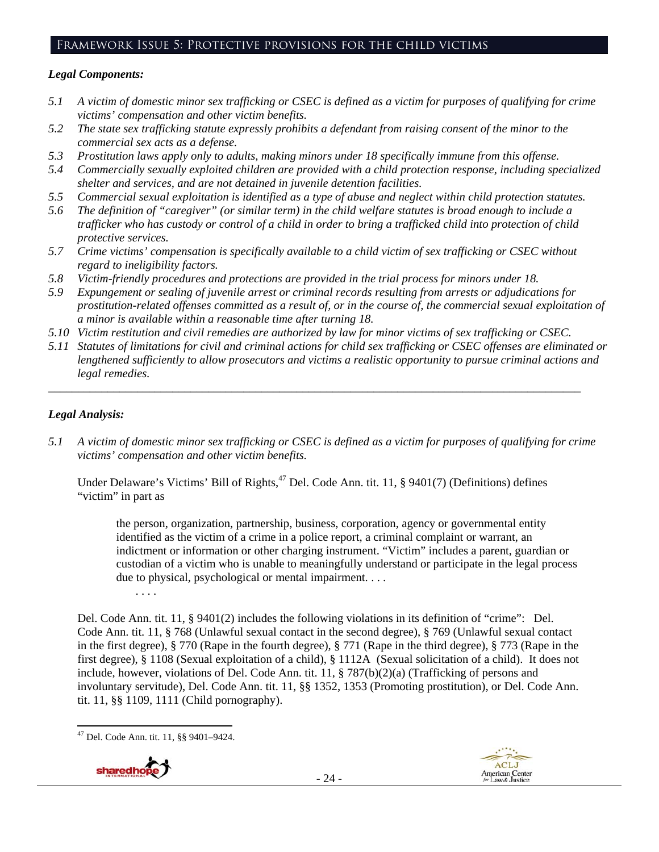# Framework Issue 5: Protective provisions for the child victims

## *Legal Components:*

- *5.1 A victim of domestic minor sex trafficking or CSEC is defined as a victim for purposes of qualifying for crime victims' compensation and other victim benefits.*
- *5.2 The state sex trafficking statute expressly prohibits a defendant from raising consent of the minor to the commercial sex acts as a defense.*
- *5.3 Prostitution laws apply only to adults, making minors under 18 specifically immune from this offense.*
- *5.4 Commercially sexually exploited children are provided with a child protection response, including specialized shelter and services, and are not detained in juvenile detention facilities.*
- *5.5 Commercial sexual exploitation is identified as a type of abuse and neglect within child protection statutes.*
- *5.6 The definition of "caregiver" (or similar term) in the child welfare statutes is broad enough to include a trafficker who has custody or control of a child in order to bring a trafficked child into protection of child protective services.*
- *5.7 Crime victims' compensation is specifically available to a child victim of sex trafficking or CSEC without regard to ineligibility factors.*
- *5.8 Victim-friendly procedures and protections are provided in the trial process for minors under 18.*
- *5.9 Expungement or sealing of juvenile arrest or criminal records resulting from arrests or adjudications for prostitution-related offenses committed as a result of, or in the course of, the commercial sexual exploitation of a minor is available within a reasonable time after turning 18.*
- *5.10 Victim restitution and civil remedies are authorized by law for minor victims of sex trafficking or CSEC.*

*\_\_\_\_\_\_\_\_\_\_\_\_\_\_\_\_\_\_\_\_\_\_\_\_\_\_\_\_\_\_\_\_\_\_\_\_\_\_\_\_\_\_\_\_\_\_\_\_\_\_\_\_\_\_\_\_\_\_\_\_\_\_\_\_\_\_\_\_\_\_\_\_\_\_\_\_\_\_\_\_\_\_\_\_\_\_\_\_\_\_* 

*5.11 Statutes of limitations for civil and criminal actions for child sex trafficking or CSEC offenses are eliminated or lengthened sufficiently to allow prosecutors and victims a realistic opportunity to pursue criminal actions and legal remedies.* 

# *Legal Analysis:*

*5.1 A victim of domestic minor sex trafficking or CSEC is defined as a victim for purposes of qualifying for crime victims' compensation and other victim benefits.* 

Under Delaware's Victims' Bill of Rights,<sup>47</sup> Del. Code Ann. tit. 11, § 9401(7) (Definitions) defines "victim" in part as

the person, organization, partnership, business, corporation, agency or governmental entity identified as the victim of a crime in a police report, a criminal complaint or warrant, an indictment or information or other charging instrument. "Victim" includes a parent, guardian or custodian of a victim who is unable to meaningfully understand or participate in the legal process due to physical, psychological or mental impairment. . . .

Del. Code Ann. tit. 11, § 9401(2) includes the following violations in its definition of "crime": Del. Code Ann. tit. 11, § 768 (Unlawful sexual contact in the second degree), § 769 (Unlawful sexual contact in the first degree), § 770 (Rape in the fourth degree), § 771 (Rape in the third degree), § 773 (Rape in the first degree), § 1108 (Sexual exploitation of a child), § 1112A (Sexual solicitation of a child). It does not include, however, violations of Del. Code Ann. tit. 11, § 787(b)(2)(a) (Trafficking of persons and involuntary servitude), Del. Code Ann. tit. 11, §§ 1352, 1353 (Promoting prostitution), or Del. Code Ann. tit. 11, §§ 1109, 1111 (Child pornography).

. . . .



 47 Del. Code Ann. tit. 11, §§ 9401–9424.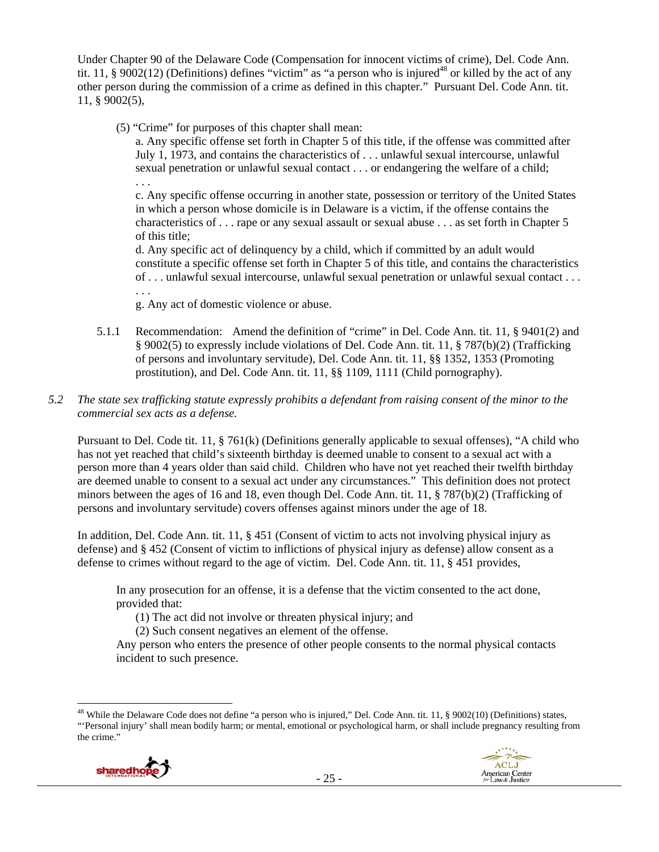Under Chapter 90 of the Delaware Code (Compensation for innocent victims of crime), Del. Code Ann. tit. 11, § 9002(12) (Definitions) defines "victim" as "a person who is injured<sup>48</sup> or killed by the act of any other person during the commission of a crime as defined in this chapter." Pursuant Del. Code Ann. tit. 11, § 9002(5),

(5) "Crime" for purposes of this chapter shall mean:

a. Any specific offense set forth in Chapter 5 of this title, if the offense was committed after July 1, 1973, and contains the characteristics of . . . unlawful sexual intercourse, unlawful sexual penetration or unlawful sexual contact . . . or endangering the welfare of a child; . . .

c. Any specific offense occurring in another state, possession or territory of the United States in which a person whose domicile is in Delaware is a victim, if the offense contains the characteristics of . . . rape or any sexual assault or sexual abuse . . . as set forth in Chapter 5 of this title;

d. Any specific act of delinquency by a child, which if committed by an adult would constitute a specific offense set forth in Chapter 5 of this title, and contains the characteristics of . . . unlawful sexual intercourse, unlawful sexual penetration or unlawful sexual contact . . . . . .

g. Any act of domestic violence or abuse.

5.1.1 Recommendation: Amend the definition of "crime" in Del. Code Ann. tit. 11, § 9401(2) and § 9002(5) to expressly include violations of Del. Code Ann. tit. 11, § 787(b)(2) (Trafficking of persons and involuntary servitude), Del. Code Ann. tit. 11, §§ 1352, 1353 (Promoting prostitution), and Del. Code Ann. tit. 11, §§ 1109, 1111 (Child pornography).

# *5.2 The state sex trafficking statute expressly prohibits a defendant from raising consent of the minor to the commercial sex acts as a defense.*

Pursuant to Del. Code tit. 11, § 761(k) (Definitions generally applicable to sexual offenses), "A child who has not yet reached that child's sixteenth birthday is deemed unable to consent to a sexual act with a person more than 4 years older than said child. Children who have not yet reached their twelfth birthday are deemed unable to consent to a sexual act under any circumstances." This definition does not protect minors between the ages of 16 and 18, even though Del. Code Ann. tit. 11, § 787(b)(2) (Trafficking of persons and involuntary servitude) covers offenses against minors under the age of 18.

In addition, Del. Code Ann. tit. 11, § 451 (Consent of victim to acts not involving physical injury as defense) and § 452 (Consent of victim to inflictions of physical injury as defense) allow consent as a defense to crimes without regard to the age of victim. Del. Code Ann. tit. 11, § 451 provides,

In any prosecution for an offense, it is a defense that the victim consented to the act done, provided that:

(1) The act did not involve or threaten physical injury; and

(2) Such consent negatives an element of the offense.

Any person who enters the presence of other people consents to the normal physical contacts incident to such presence.

 <sup>48</sup> While the Delaware Code does not define "a person who is injured," Del. Code Ann. tit. 11, § 9002(10) (Definitions) states, "'Personal injury' shall mean bodily harm; or mental, emotional or psychological harm, or shall include pregnancy resulting from the crime."

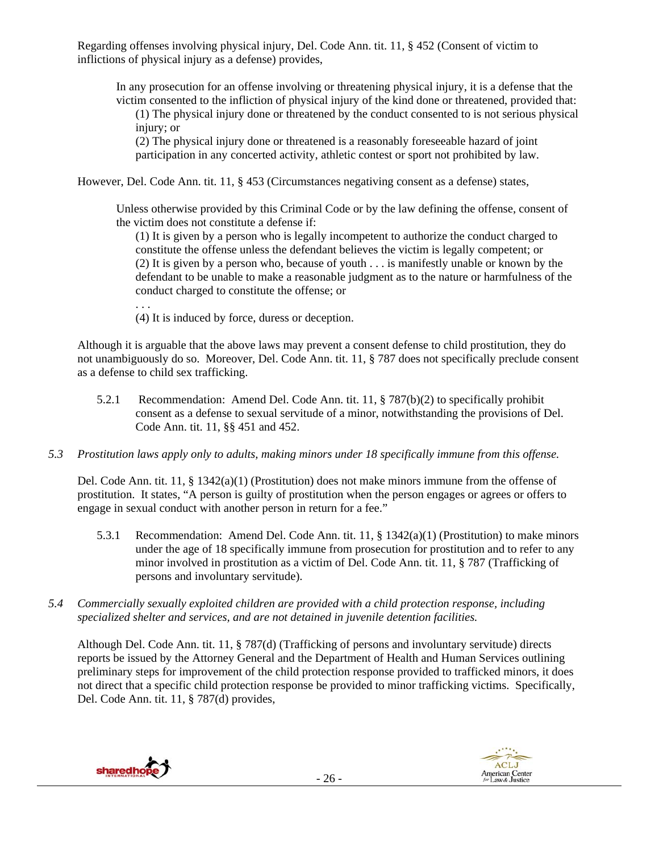Regarding offenses involving physical injury, Del. Code Ann. tit. 11, § 452 (Consent of victim to inflictions of physical injury as a defense) provides,

In any prosecution for an offense involving or threatening physical injury, it is a defense that the victim consented to the infliction of physical injury of the kind done or threatened, provided that:

(1) The physical injury done or threatened by the conduct consented to is not serious physical injury; or

(2) The physical injury done or threatened is a reasonably foreseeable hazard of joint participation in any concerted activity, athletic contest or sport not prohibited by law.

However, Del. Code Ann. tit. 11, § 453 (Circumstances negativing consent as a defense) states,

Unless otherwise provided by this Criminal Code or by the law defining the offense, consent of the victim does not constitute a defense if:

(1) It is given by a person who is legally incompetent to authorize the conduct charged to constitute the offense unless the defendant believes the victim is legally competent; or (2) It is given by a person who, because of youth . . . is manifestly unable or known by the defendant to be unable to make a reasonable judgment as to the nature or harmfulness of the conduct charged to constitute the offense; or

. . .

(4) It is induced by force, duress or deception.

Although it is arguable that the above laws may prevent a consent defense to child prostitution, they do not unambiguously do so. Moreover, Del. Code Ann. tit. 11, § 787 does not specifically preclude consent as a defense to child sex trafficking.

- 5.2.1 Recommendation: Amend Del. Code Ann. tit. 11, § 787(b)(2) to specifically prohibit consent as a defense to sexual servitude of a minor, notwithstanding the provisions of Del. Code Ann. tit. 11, §§ 451 and 452.
- *5.3 Prostitution laws apply only to adults, making minors under 18 specifically immune from this offense.*

Del. Code Ann. tit.  $11, \S$  1342(a)(1) (Prostitution) does not make minors immune from the offense of prostitution. It states, "A person is guilty of prostitution when the person engages or agrees or offers to engage in sexual conduct with another person in return for a fee."

- 5.3.1 Recommendation: Amend Del. Code Ann. tit. 11, § 1342(a)(1) (Prostitution) to make minors under the age of 18 specifically immune from prosecution for prostitution and to refer to any minor involved in prostitution as a victim of Del. Code Ann. tit. 11, § 787 (Trafficking of persons and involuntary servitude).
- *5.4 Commercially sexually exploited children are provided with a child protection response, including specialized shelter and services, and are not detained in juvenile detention facilities.*

Although Del. Code Ann. tit. 11, § 787(d) (Trafficking of persons and involuntary servitude) directs reports be issued by the Attorney General and the Department of Health and Human Services outlining preliminary steps for improvement of the child protection response provided to trafficked minors, it does not direct that a specific child protection response be provided to minor trafficking victims. Specifically, Del. Code Ann. tit. 11, § 787(d) provides,

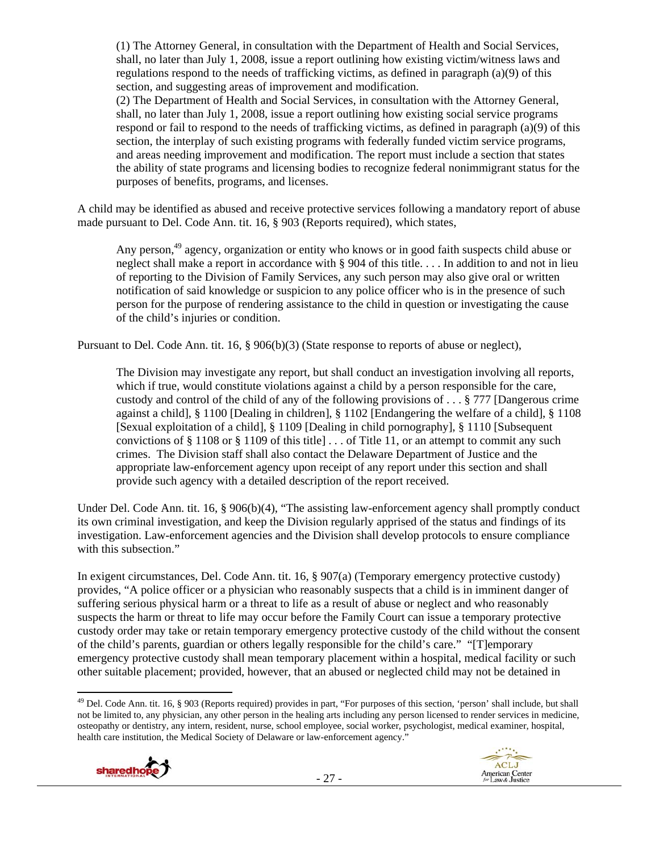(1) The Attorney General, in consultation with the Department of Health and Social Services, shall, no later than July 1, 2008, issue a report outlining how existing victim/witness laws and regulations respond to the needs of trafficking victims, as defined in paragraph (a)(9) of this section, and suggesting areas of improvement and modification.

(2) The Department of Health and Social Services, in consultation with the Attorney General, shall, no later than July 1, 2008, issue a report outlining how existing social service programs respond or fail to respond to the needs of trafficking victims, as defined in paragraph (a)(9) of this section, the interplay of such existing programs with federally funded victim service programs, and areas needing improvement and modification. The report must include a section that states the ability of state programs and licensing bodies to recognize federal nonimmigrant status for the purposes of benefits, programs, and licenses.

A child may be identified as abused and receive protective services following a mandatory report of abuse made pursuant to Del. Code Ann. tit. 16, § 903 (Reports required), which states,

Any person,<sup>49</sup> agency, organization or entity who knows or in good faith suspects child abuse or neglect shall make a report in accordance with § 904 of this title. . . . In addition to and not in lieu of reporting to the Division of Family Services, any such person may also give oral or written notification of said knowledge or suspicion to any police officer who is in the presence of such person for the purpose of rendering assistance to the child in question or investigating the cause of the child's injuries or condition.

Pursuant to Del. Code Ann. tit. 16, § 906(b)(3) (State response to reports of abuse or neglect),

The Division may investigate any report, but shall conduct an investigation involving all reports, which if true, would constitute violations against a child by a person responsible for the care, custody and control of the child of any of the following provisions of . . . § 777 [Dangerous crime against a child], § 1100 [Dealing in children], § 1102 [Endangering the welfare of a child], § 1108 [Sexual exploitation of a child], § 1109 [Dealing in child pornography], § 1110 [Subsequent convictions of  $\S 1108$  or  $\S 1109$  of this title  $\ldots$  of Title 11, or an attempt to commit any such crimes. The Division staff shall also contact the Delaware Department of Justice and the appropriate law-enforcement agency upon receipt of any report under this section and shall provide such agency with a detailed description of the report received.

Under Del. Code Ann. tit. 16, § 906(b)(4), "The assisting law-enforcement agency shall promptly conduct its own criminal investigation, and keep the Division regularly apprised of the status and findings of its investigation. Law-enforcement agencies and the Division shall develop protocols to ensure compliance with this subsection."

In exigent circumstances, Del. Code Ann. tit. 16, § 907(a) (Temporary emergency protective custody) provides, "A police officer or a physician who reasonably suspects that a child is in imminent danger of suffering serious physical harm or a threat to life as a result of abuse or neglect and who reasonably suspects the harm or threat to life may occur before the Family Court can issue a temporary protective custody order may take or retain temporary emergency protective custody of the child without the consent of the child's parents, guardian or others legally responsible for the child's care." "[T]emporary emergency protective custody shall mean temporary placement within a hospital, medical facility or such other suitable placement; provided, however, that an abused or neglected child may not be detained in

 $^{49}$  Del. Code Ann. tit. 16, § 903 (Reports required) provides in part, "For purposes of this section, 'person' shall include, but shall not be limited to, any physician, any other person in the healing arts including any person licensed to render services in medicine, osteopathy or dentistry, any intern, resident, nurse, school employee, social worker, psychologist, medical examiner, hospital, health care institution, the Medical Society of Delaware or law-enforcement agency."

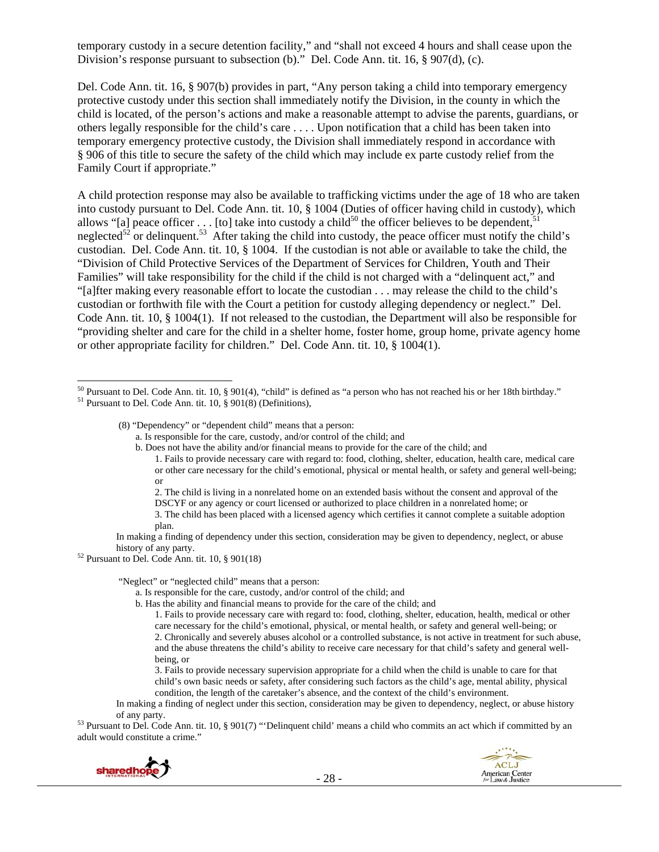temporary custody in a secure detention facility," and "shall not exceed 4 hours and shall cease upon the Division's response pursuant to subsection (b)." Del. Code Ann. tit. 16, § 907(d), (c).

Del. Code Ann. tit. 16, § 907(b) provides in part, "Any person taking a child into temporary emergency protective custody under this section shall immediately notify the Division, in the county in which the child is located, of the person's actions and make a reasonable attempt to advise the parents, guardians, or others legally responsible for the child's care . . . . Upon notification that a child has been taken into temporary emergency protective custody, the Division shall immediately respond in accordance with § 906 of this title to secure the safety of the child which may include ex parte custody relief from the Family Court if appropriate."

A child protection response may also be available to trafficking victims under the age of 18 who are taken into custody pursuant to Del. Code Ann. tit. 10, § 1004 (Duties of officer having child in custody), which allows "[a] peace officer . . . [to] take into custody a child<sup>50</sup> the officer believes to be dependent,<sup>5</sup> neglected<sup>52</sup> or delinquent.<sup>53</sup> After taking the child into custody, the peace officer must notify the child's custodian. Del. Code Ann. tit. 10, § 1004. If the custodian is not able or available to take the child, the "Division of Child Protective Services of the Department of Services for Children, Youth and Their Families" will take responsibility for the child if the child is not charged with a "delinquent act," and "[a]fter making every reasonable effort to locate the custodian . . . may release the child to the child's custodian or forthwith file with the Court a petition for custody alleging dependency or neglect." Del. Code Ann. tit. 10, § 1004(1). If not released to the custodian, the Department will also be responsible for "providing shelter and care for the child in a shelter home, foster home, group home, private agency home or other appropriate facility for children." Del. Code Ann. tit. 10, § 1004(1).

- b. Does not have the ability and/or financial means to provide for the care of the child; and 1. Fails to provide necessary care with regard to: food, clothing, shelter, education, health care, medical care or other care necessary for the child's emotional, physical or mental health, or safety and general well-being;
	- or 2. The child is living in a nonrelated home on an extended basis without the consent and approval of the DSCYF or any agency or court licensed or authorized to place children in a nonrelated home; or 3. The child has been placed with a licensed agency which certifies it cannot complete a suitable adoption

In making a finding of dependency under this section, consideration may be given to dependency, neglect, or abuse

history of any party. 52 Pursuant to Del. Code Ann. tit. 10, § 901(18)

"Neglect" or "neglected child" means that a person:

- a. Is responsible for the care, custody, and/or control of the child; and
- b. Has the ability and financial means to provide for the care of the child; and

of any party. 53 Pursuant to Del. Code Ann. tit. 10, § 901(7) "'Delinquent child' means a child who commits an act which if committed by an adult would constitute a crime."



<sup>&</sup>lt;sup>50</sup> Pursuant to Del. Code Ann. tit. 10, § 901(4), "child" is defined as "a person who has not reached his or her 18th birthday."<br><sup>51</sup> Pursuant to Del. Code Ann. tit. 10, § 901(8) (Definitions),

 <sup>(8) &</sup>quot;Dependency" or "dependent child" means that a person:

a. Is responsible for the care, custody, and/or control of the child; and

plan.

<sup>1.</sup> Fails to provide necessary care with regard to: food, clothing, shelter, education, health, medical or other care necessary for the child's emotional, physical, or mental health, or safety and general well-being; or 2. Chronically and severely abuses alcohol or a controlled substance, is not active in treatment for such abuse, and the abuse threatens the child's ability to receive care necessary for that child's safety and general wellbeing, or

<sup>3.</sup> Fails to provide necessary supervision appropriate for a child when the child is unable to care for that child's own basic needs or safety, after considering such factors as the child's age, mental ability, physical condition, the length of the caretaker's absence, and the context of the child's environment.

In making a finding of neglect under this section, consideration may be given to dependency, neglect, or abuse history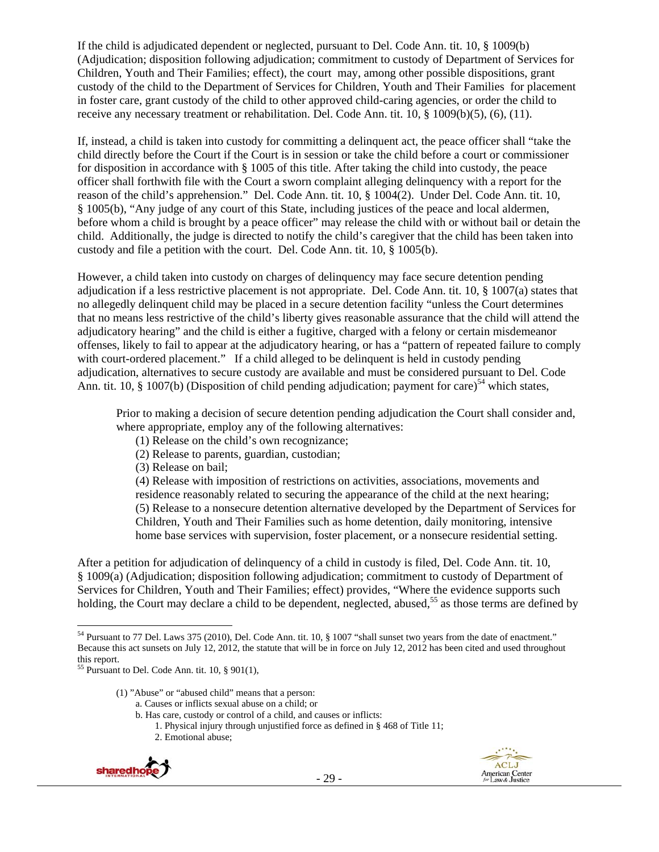If the child is adjudicated dependent or neglected, pursuant to Del. Code Ann. tit. 10, § 1009(b) (Adjudication; disposition following adjudication; commitment to custody of Department of Services for Children, Youth and Their Families; effect), the court may, among other possible dispositions, grant custody of the child to the Department of Services for Children, Youth and Their Families for placement in foster care, grant custody of the child to other approved child-caring agencies, or order the child to receive any necessary treatment or rehabilitation. Del. Code Ann. tit. 10, § 1009(b)(5), (6), (11).

If, instead, a child is taken into custody for committing a delinquent act, the peace officer shall "take the child directly before the Court if the Court is in session or take the child before a court or commissioner for disposition in accordance with § 1005 of this title. After taking the child into custody, the peace officer shall forthwith file with the Court a sworn complaint alleging delinquency with a report for the reason of the child's apprehension." Del. Code Ann. tit. 10, § 1004(2). Under Del. Code Ann. tit. 10, § 1005(b), "Any judge of any court of this State, including justices of the peace and local aldermen, before whom a child is brought by a peace officer" may release the child with or without bail or detain the child. Additionally, the judge is directed to notify the child's caregiver that the child has been taken into custody and file a petition with the court. Del. Code Ann. tit. 10, § 1005(b).

However, a child taken into custody on charges of delinquency may face secure detention pending adjudication if a less restrictive placement is not appropriate. Del. Code Ann. tit. 10, § 1007(a) states that no allegedly delinquent child may be placed in a secure detention facility "unless the Court determines that no means less restrictive of the child's liberty gives reasonable assurance that the child will attend the adjudicatory hearing" and the child is either a fugitive, charged with a felony or certain misdemeanor offenses, likely to fail to appear at the adjudicatory hearing, or has a "pattern of repeated failure to comply with court-ordered placement." If a child alleged to be delinquent is held in custody pending adjudication, alternatives to secure custody are available and must be considered pursuant to Del. Code Ann. tit. 10,  $\S$  1007(b) (Disposition of child pending adjudication; payment for care)<sup>54</sup> which states,

Prior to making a decision of secure detention pending adjudication the Court shall consider and, where appropriate, employ any of the following alternatives:

- (1) Release on the child's own recognizance;
- (2) Release to parents, guardian, custodian;
- (3) Release on bail;

(4) Release with imposition of restrictions on activities, associations, movements and residence reasonably related to securing the appearance of the child at the next hearing; (5) Release to a nonsecure detention alternative developed by the Department of Services for Children, Youth and Their Families such as home detention, daily monitoring, intensive home base services with supervision, foster placement, or a nonsecure residential setting.

After a petition for adjudication of delinquency of a child in custody is filed, Del. Code Ann. tit. 10, § 1009(a) (Adjudication; disposition following adjudication; commitment to custody of Department of Services for Children, Youth and Their Families; effect) provides, "Where the evidence supports such holding, the Court may declare a child to be dependent, neglected, abused,<sup>55</sup> as those terms are defined by

- (1) "Abuse" or "abused child" means that a person: a. Causes or inflicts sexual abuse on a child; or
	- b. Has care, custody or control of a child, and causes or inflicts:
		- 1. Physical injury through unjustified force as defined in § 468 of Title 11;
		- 2. Emotional abuse;





 <sup>54</sup> Pursuant to 77 Del. Laws 375 (2010), Del. Code Ann. tit. 10, § 1007 "shall sunset two years from the date of enactment." Because this act sunsets on July 12, 2012, the statute that will be in force on July 12, 2012 has been cited and used throughout this report.

 $55$  Pursuant to Del. Code Ann. tit. 10, § 901(1),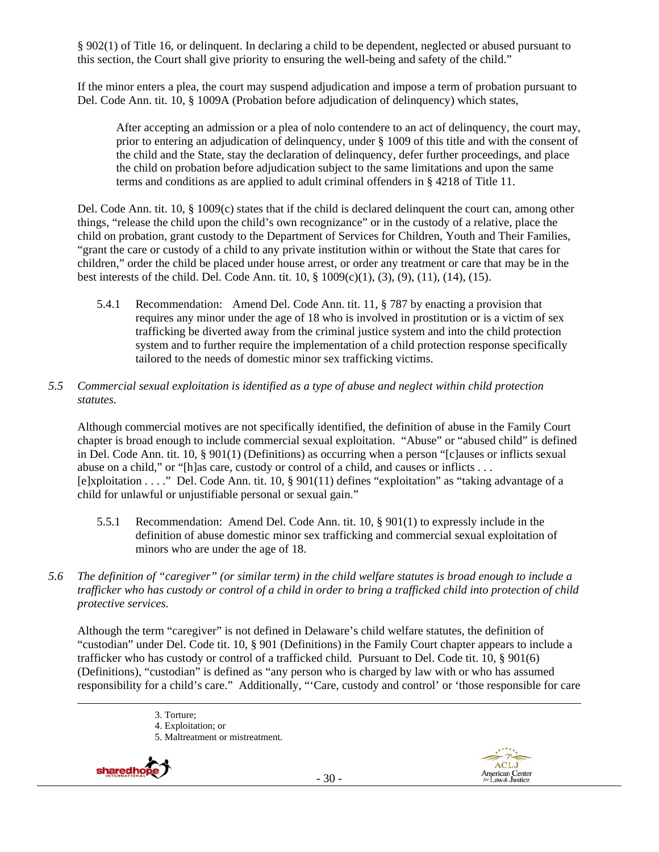§ 902(1) of Title 16, or delinquent. In declaring a child to be dependent, neglected or abused pursuant to this section, the Court shall give priority to ensuring the well-being and safety of the child."

If the minor enters a plea, the court may suspend adjudication and impose a term of probation pursuant to Del. Code Ann. tit. 10, § 1009A (Probation before adjudication of delinquency) which states,

After accepting an admission or a plea of nolo contendere to an act of delinquency, the court may, prior to entering an adjudication of delinquency, under § 1009 of this title and with the consent of the child and the State, stay the declaration of delinquency, defer further proceedings, and place the child on probation before adjudication subject to the same limitations and upon the same terms and conditions as are applied to adult criminal offenders in  $\S$  4218 of Title 11.

Del. Code Ann. tit. 10, § 1009(c) states that if the child is declared delinquent the court can, among other things, "release the child upon the child's own recognizance" or in the custody of a relative, place the child on probation, grant custody to the Department of Services for Children, Youth and Their Families, "grant the care or custody of a child to any private institution within or without the State that cares for children," order the child be placed under house arrest, or order any treatment or care that may be in the best interests of the child. Del. Code Ann. tit.  $10, \frac{8}{3}$  1009(c)(1), (3), (9), (11), (14), (15).

5.4.1 Recommendation: Amend Del. Code Ann. tit. 11, § 787 by enacting a provision that requires any minor under the age of 18 who is involved in prostitution or is a victim of sex trafficking be diverted away from the criminal justice system and into the child protection system and to further require the implementation of a child protection response specifically tailored to the needs of domestic minor sex trafficking victims.

### *5.5 Commercial sexual exploitation is identified as a type of abuse and neglect within child protection statutes.*

Although commercial motives are not specifically identified, the definition of abuse in the Family Court chapter is broad enough to include commercial sexual exploitation. "Abuse" or "abused child" is defined in Del. Code Ann. tit. 10, § 901(1) (Definitions) as occurring when a person "[c]auses or inflicts sexual abuse on a child," or "[h]as care, custody or control of a child, and causes or inflicts . . . [e]xploitation . . . ." Del. Code Ann. tit. 10, § 901(11) defines "exploitation" as "taking advantage of a child for unlawful or unjustifiable personal or sexual gain."

- 5.5.1 Recommendation: Amend Del. Code Ann. tit. 10, § 901(1) to expressly include in the definition of abuse domestic minor sex trafficking and commercial sexual exploitation of minors who are under the age of 18.
- *5.6 The definition of "caregiver" (or similar term) in the child welfare statutes is broad enough to include a trafficker who has custody or control of a child in order to bring a trafficked child into protection of child protective services.*

Although the term "caregiver" is not defined in Delaware's child welfare statutes, the definition of "custodian" under Del. Code tit. 10, § 901 (Definitions) in the Family Court chapter appears to include a trafficker who has custody or control of a trafficked child. Pursuant to Del. Code tit. 10, § 901(6) (Definitions), "custodian" is defined as "any person who is charged by law with or who has assumed responsibility for a child's care." Additionally, "'Care, custody and control' or 'those responsible for care

- <u> Andrewski politika (za obrazu pod predsjednika u predsjednika u predsjednika u predsjednika (za obrazu pod p</u> 3. Torture;
	- 4. Exploitation; or
	- 5. Maltreatment or mistreatment.

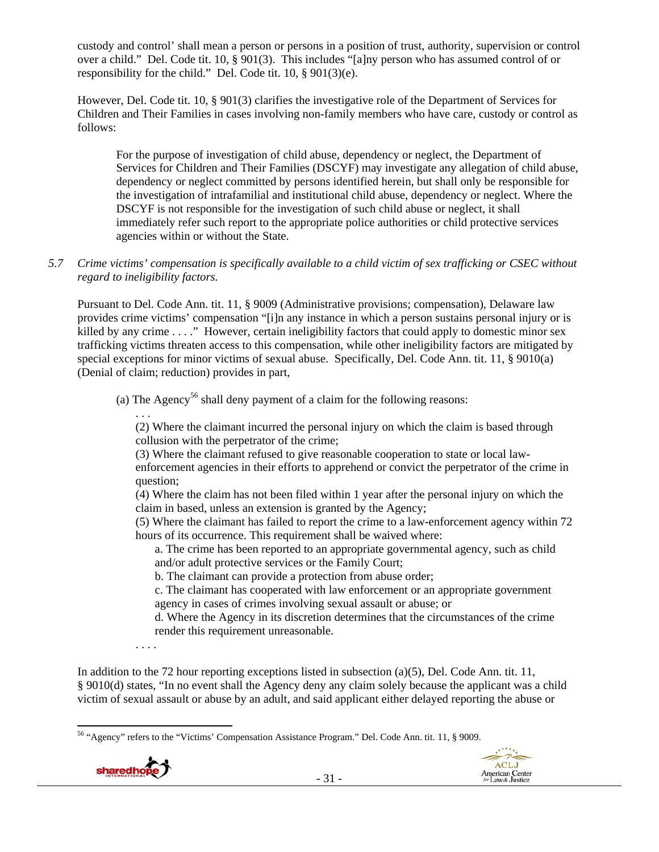custody and control' shall mean a person or persons in a position of trust, authority, supervision or control over a child." Del. Code tit. 10, § 901(3). This includes "[a]ny person who has assumed control of or responsibility for the child." Del. Code tit. 10, § 901(3)(e).

However, Del. Code tit. 10, § 901(3) clarifies the investigative role of the Department of Services for Children and Their Families in cases involving non-family members who have care, custody or control as follows:

For the purpose of investigation of child abuse, dependency or neglect, the Department of Services for Children and Their Families (DSCYF) may investigate any allegation of child abuse, dependency or neglect committed by persons identified herein, but shall only be responsible for the investigation of intrafamilial and institutional child abuse, dependency or neglect. Where the DSCYF is not responsible for the investigation of such child abuse or neglect, it shall immediately refer such report to the appropriate police authorities or child protective services agencies within or without the State.

*5.7 Crime victims' compensation is specifically available to a child victim of sex trafficking or CSEC without regard to ineligibility factors.* 

Pursuant to Del. Code Ann. tit. 11, § 9009 (Administrative provisions; compensation), Delaware law provides crime victims' compensation "[i]n any instance in which a person sustains personal injury or is killed by any crime . . . ." However, certain ineligibility factors that could apply to domestic minor sex trafficking victims threaten access to this compensation, while other ineligibility factors are mitigated by special exceptions for minor victims of sexual abuse. Specifically, Del. Code Ann. tit. 11, § 9010(a) (Denial of claim; reduction) provides in part,

(a) The Agency<sup>56</sup> shall deny payment of a claim for the following reasons:

. . . (2) Where the claimant incurred the personal injury on which the claim is based through collusion with the perpetrator of the crime;

(3) Where the claimant refused to give reasonable cooperation to state or local lawenforcement agencies in their efforts to apprehend or convict the perpetrator of the crime in question;

(4) Where the claim has not been filed within 1 year after the personal injury on which the claim in based, unless an extension is granted by the Agency;

(5) Where the claimant has failed to report the crime to a law-enforcement agency within 72 hours of its occurrence. This requirement shall be waived where:

a. The crime has been reported to an appropriate governmental agency, such as child and/or adult protective services or the Family Court;

b. The claimant can provide a protection from abuse order;

c. The claimant has cooperated with law enforcement or an appropriate government agency in cases of crimes involving sexual assault or abuse; or

d. Where the Agency in its discretion determines that the circumstances of the crime render this requirement unreasonable.

. . . .

In addition to the 72 hour reporting exceptions listed in subsection (a)(5), Del. Code Ann. tit. 11, § 9010(d) states, "In no event shall the Agency deny any claim solely because the applicant was a child victim of sexual assault or abuse by an adult, and said applicant either delayed reporting the abuse or

<sup>56 &</sup>quot;Agency" refers to the "Victims' Compensation Assistance Program." Del. Code Ann. tit. 11, § 9009.



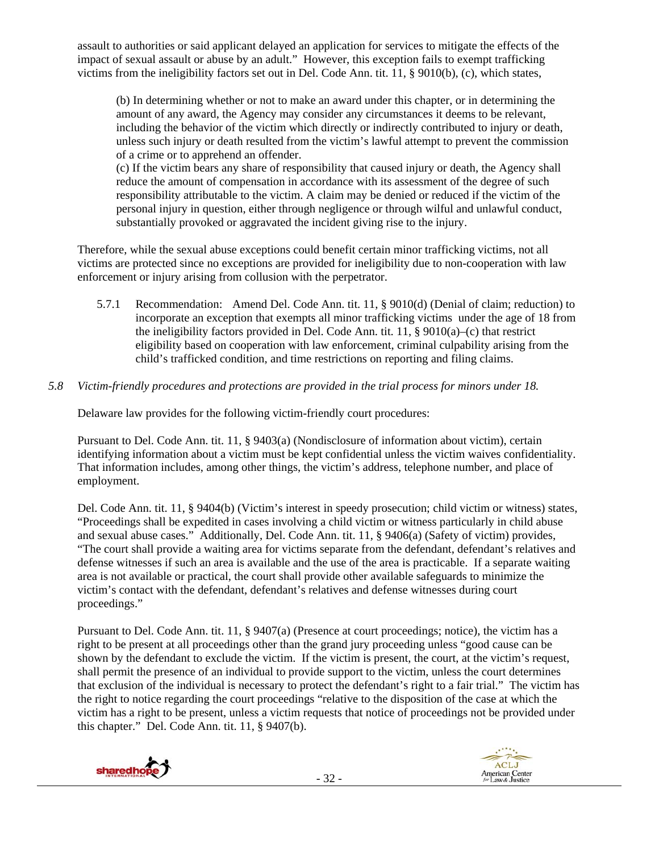assault to authorities or said applicant delayed an application for services to mitigate the effects of the impact of sexual assault or abuse by an adult." However, this exception fails to exempt trafficking victims from the ineligibility factors set out in Del. Code Ann. tit. 11, § 9010(b), (c), which states,

(b) In determining whether or not to make an award under this chapter, or in determining the amount of any award, the Agency may consider any circumstances it deems to be relevant, including the behavior of the victim which directly or indirectly contributed to injury or death, unless such injury or death resulted from the victim's lawful attempt to prevent the commission of a crime or to apprehend an offender.

(c) If the victim bears any share of responsibility that caused injury or death, the Agency shall reduce the amount of compensation in accordance with its assessment of the degree of such responsibility attributable to the victim. A claim may be denied or reduced if the victim of the personal injury in question, either through negligence or through wilful and unlawful conduct, substantially provoked or aggravated the incident giving rise to the injury.

Therefore, while the sexual abuse exceptions could benefit certain minor trafficking victims, not all victims are protected since no exceptions are provided for ineligibility due to non-cooperation with law enforcement or injury arising from collusion with the perpetrator.

5.7.1 Recommendation: Amend Del. Code Ann. tit. 11, § 9010(d) (Denial of claim; reduction) to incorporate an exception that exempts all minor trafficking victims under the age of 18 from the ineligibility factors provided in Del. Code Ann. tit. 11,  $\S$  9010(a)–(c) that restrict eligibility based on cooperation with law enforcement, criminal culpability arising from the child's trafficked condition, and time restrictions on reporting and filing claims.

# *5.8 Victim-friendly procedures and protections are provided in the trial process for minors under 18.*

Delaware law provides for the following victim-friendly court procedures:

Pursuant to Del. Code Ann. tit. 11, § 9403(a) (Nondisclosure of information about victim), certain identifying information about a victim must be kept confidential unless the victim waives confidentiality. That information includes, among other things, the victim's address, telephone number, and place of employment.

Del. Code Ann. tit. 11, § 9404(b) (Victim's interest in speedy prosecution; child victim or witness) states, "Proceedings shall be expedited in cases involving a child victim or witness particularly in child abuse and sexual abuse cases." Additionally, Del. Code Ann. tit. 11, § 9406(a) (Safety of victim) provides, "The court shall provide a waiting area for victims separate from the defendant, defendant's relatives and defense witnesses if such an area is available and the use of the area is practicable. If a separate waiting area is not available or practical, the court shall provide other available safeguards to minimize the victim's contact with the defendant, defendant's relatives and defense witnesses during court proceedings."

Pursuant to Del. Code Ann. tit. 11, § 9407(a) (Presence at court proceedings; notice), the victim has a right to be present at all proceedings other than the grand jury proceeding unless "good cause can be shown by the defendant to exclude the victim. If the victim is present, the court, at the victim's request, shall permit the presence of an individual to provide support to the victim, unless the court determines that exclusion of the individual is necessary to protect the defendant's right to a fair trial." The victim has the right to notice regarding the court proceedings "relative to the disposition of the case at which the victim has a right to be present, unless a victim requests that notice of proceedings not be provided under this chapter." Del. Code Ann. tit. 11, § 9407(b).



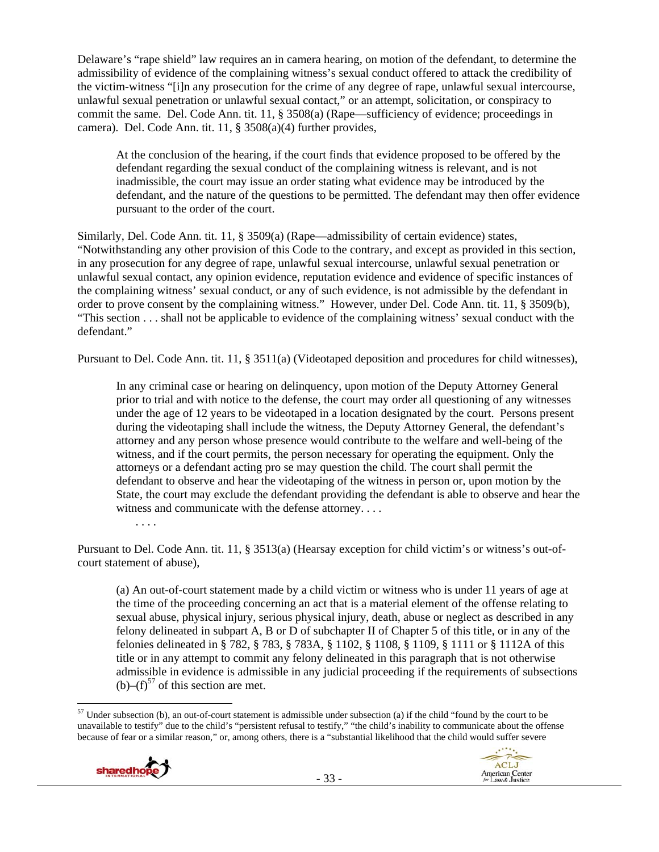Delaware's "rape shield" law requires an in camera hearing, on motion of the defendant, to determine the admissibility of evidence of the complaining witness's sexual conduct offered to attack the credibility of the victim-witness "[i]n any prosecution for the crime of any degree of rape, unlawful sexual intercourse, unlawful sexual penetration or unlawful sexual contact," or an attempt, solicitation, or conspiracy to commit the same. Del. Code Ann. tit. 11, § 3508(a) (Rape—sufficiency of evidence; proceedings in camera). Del. Code Ann. tit. 11, § 3508(a)(4) further provides,

At the conclusion of the hearing, if the court finds that evidence proposed to be offered by the defendant regarding the sexual conduct of the complaining witness is relevant, and is not inadmissible, the court may issue an order stating what evidence may be introduced by the defendant, and the nature of the questions to be permitted. The defendant may then offer evidence pursuant to the order of the court.

Similarly, Del. Code Ann. tit. 11, § 3509(a) (Rape—admissibility of certain evidence) states, "Notwithstanding any other provision of this Code to the contrary, and except as provided in this section, in any prosecution for any degree of rape, unlawful sexual intercourse, unlawful sexual penetration or unlawful sexual contact, any opinion evidence, reputation evidence and evidence of specific instances of the complaining witness' sexual conduct, or any of such evidence, is not admissible by the defendant in order to prove consent by the complaining witness." However, under Del. Code Ann. tit. 11, § 3509(b), "This section . . . shall not be applicable to evidence of the complaining witness' sexual conduct with the defendant."

Pursuant to Del. Code Ann. tit. 11, § 3511(a) (Videotaped deposition and procedures for child witnesses),

In any criminal case or hearing on delinquency, upon motion of the Deputy Attorney General prior to trial and with notice to the defense, the court may order all questioning of any witnesses under the age of 12 years to be videotaped in a location designated by the court. Persons present during the videotaping shall include the witness, the Deputy Attorney General, the defendant's attorney and any person whose presence would contribute to the welfare and well-being of the witness, and if the court permits, the person necessary for operating the equipment. Only the attorneys or a defendant acting pro se may question the child. The court shall permit the defendant to observe and hear the videotaping of the witness in person or, upon motion by the State, the court may exclude the defendant providing the defendant is able to observe and hear the witness and communicate with the defense attorney. . . .

Pursuant to Del. Code Ann. tit. 11, § 3513(a) (Hearsay exception for child victim's or witness's out-ofcourt statement of abuse),

(a) An out-of-court statement made by a child victim or witness who is under 11 years of age at the time of the proceeding concerning an act that is a material element of the offense relating to sexual abuse, physical injury, serious physical injury, death, abuse or neglect as described in any felony delineated in subpart A, B or D of subchapter II of Chapter 5 of this title, or in any of the felonies delineated in § 782, § 783, § 783A, § 1102, § 1108, § 1109, § 1111 or § 1112A of this title or in any attempt to commit any felony delineated in this paragraph that is not otherwise admissible in evidence is admissible in any judicial proceeding if the requirements of subsections (b)– $(f)^{57}$  of this section are met.

  $57$  Under subsection (b), an out-of-court statement is admissible under subsection (a) if the child "found by the court to be unavailable to testify" due to the child's "persistent refusal to testify," "the child's inability to communicate about the offense because of fear or a similar reason," or, among others, there is a "substantial likelihood that the child would suffer severe



. . . .

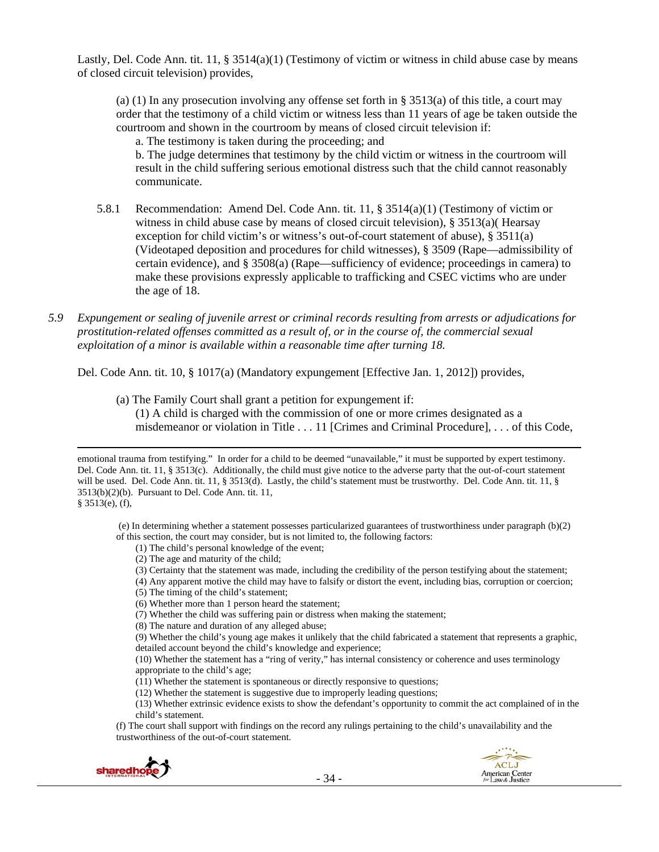Lastly, Del. Code Ann. tit. 11, § 3514(a)(1) (Testimony of victim or witness in child abuse case by means of closed circuit television) provides,

(a) (1) In any prosecution involving any offense set forth in § 3513(a) of this title, a court may order that the testimony of a child victim or witness less than 11 years of age be taken outside the courtroom and shown in the courtroom by means of closed circuit television if:

a. The testimony is taken during the proceeding; and

b. The judge determines that testimony by the child victim or witness in the courtroom will result in the child suffering serious emotional distress such that the child cannot reasonably communicate.

- 5.8.1 Recommendation: Amend Del. Code Ann. tit. 11, § 3514(a)(1) (Testimony of victim or witness in child abuse case by means of closed circuit television), § 3513(a)( Hearsay exception for child victim's or witness's out-of-court statement of abuse), § 3511(a) (Videotaped deposition and procedures for child witnesses), § 3509 (Rape—admissibility of certain evidence), and § 3508(a) (Rape—sufficiency of evidence; proceedings in camera) to make these provisions expressly applicable to trafficking and CSEC victims who are under the age of 18.
- *5.9 Expungement or sealing of juvenile arrest or criminal records resulting from arrests or adjudications for prostitution-related offenses committed as a result of, or in the course of, the commercial sexual exploitation of a minor is available within a reasonable time after turning 18.*

Del. Code Ann. tit. 10, § 1017(a) (Mandatory expungement [Effective Jan. 1, 2012]) provides,

(a) The Family Court shall grant a petition for expungement if:

(1) A child is charged with the commission of one or more crimes designated as a misdemeanor or violation in Title . . . 11 [Crimes and Criminal Procedure], . . . of this Code,

<u> Andrewski politika (za obrazu pod predsjednika u predsjednika u predsjednika u predsjednika (za obrazu pod p</u>

§ 3513(e), (f),

 (e) In determining whether a statement possesses particularized guarantees of trustworthiness under paragraph (b)(2) of this section, the court may consider, but is not limited to, the following factors:

(1) The child's personal knowledge of the event;

- (2) The age and maturity of the child;
- (3) Certainty that the statement was made, including the credibility of the person testifying about the statement;

(4) Any apparent motive the child may have to falsify or distort the event, including bias, corruption or coercion;

- (5) The timing of the child's statement;
- (6) Whether more than 1 person heard the statement;
- (7) Whether the child was suffering pain or distress when making the statement;

(8) The nature and duration of any alleged abuse;

(9) Whether the child's young age makes it unlikely that the child fabricated a statement that represents a graphic, detailed account beyond the child's knowledge and experience;

(10) Whether the statement has a "ring of verity," has internal consistency or coherence and uses terminology appropriate to the child's age;

(11) Whether the statement is spontaneous or directly responsive to questions;

(12) Whether the statement is suggestive due to improperly leading questions;

(13) Whether extrinsic evidence exists to show the defendant's opportunity to commit the act complained of in the child's statement.

(f) The court shall support with findings on the record any rulings pertaining to the child's unavailability and the trustworthiness of the out-of-court statement.



emotional trauma from testifying." In order for a child to be deemed "unavailable," it must be supported by expert testimony. Del. Code Ann. tit. 11, § 3513(c). Additionally, the child must give notice to the adverse party that the out-of-court statement will be used. Del. Code Ann. tit. 11, § 3513(d). Lastly, the child's statement must be trustworthy. Del. Code Ann. tit. 11, § 3513(b)(2)(b). Pursuant to Del. Code Ann. tit. 11,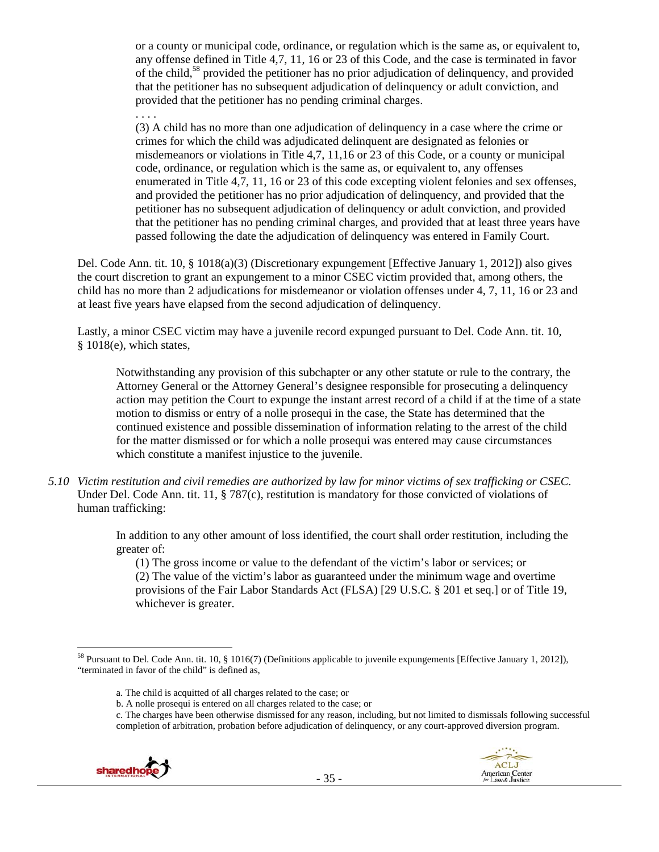or a county or municipal code, ordinance, or regulation which is the same as, or equivalent to, any offense defined in Title 4,7, 11, 16 or 23 of this Code, and the case is terminated in favor of the child,<sup>58</sup> provided the petitioner has no prior adjudication of delinquency, and provided that the petitioner has no subsequent adjudication of delinquency or adult conviction, and provided that the petitioner has no pending criminal charges.

. . . .

(3) A child has no more than one adjudication of delinquency in a case where the crime or crimes for which the child was adjudicated delinquent are designated as felonies or misdemeanors or violations in Title 4,7, 11,16 or 23 of this Code, or a county or municipal code, ordinance, or regulation which is the same as, or equivalent to, any offenses enumerated in Title 4,7, 11, 16 or 23 of this code excepting violent felonies and sex offenses, and provided the petitioner has no prior adjudication of delinquency, and provided that the petitioner has no subsequent adjudication of delinquency or adult conviction, and provided that the petitioner has no pending criminal charges, and provided that at least three years have passed following the date the adjudication of delinquency was entered in Family Court.

Del. Code Ann. tit. 10, § 1018(a)(3) (Discretionary expungement [Effective January 1, 2012]) also gives the court discretion to grant an expungement to a minor CSEC victim provided that, among others, the child has no more than 2 adjudications for misdemeanor or violation offenses under 4, 7, 11, 16 or 23 and at least five years have elapsed from the second adjudication of delinquency.

Lastly, a minor CSEC victim may have a juvenile record expunged pursuant to Del. Code Ann. tit. 10, § 1018(e), which states,

Notwithstanding any provision of this subchapter or any other statute or rule to the contrary, the Attorney General or the Attorney General's designee responsible for prosecuting a delinquency action may petition the Court to expunge the instant arrest record of a child if at the time of a state motion to dismiss or entry of a nolle prosequi in the case, the State has determined that the continued existence and possible dissemination of information relating to the arrest of the child for the matter dismissed or for which a nolle prosequi was entered may cause circumstances which constitute a manifest injustice to the juvenile.

*5.10 Victim restitution and civil remedies are authorized by law for minor victims of sex trafficking or CSEC.*  Under Del. Code Ann. tit. 11, § 787(c), restitution is mandatory for those convicted of violations of human trafficking:

> In addition to any other amount of loss identified, the court shall order restitution, including the greater of:

(1) The gross income or value to the defendant of the victim's labor or services; or (2) The value of the victim's labor as guaranteed under the minimum wage and overtime provisions of the Fair Labor Standards Act (FLSA) [29 U.S.C. § 201 et seq.] or of Title 19, whichever is greater.

c. The charges have been otherwise dismissed for any reason, including, but not limited to dismissals following successful completion of arbitration, probation before adjudication of delinquency, or any court-approved diversion program.





 58 Pursuant to Del. Code Ann. tit. 10, § 1016(7) (Definitions applicable to juvenile expungements [Effective January 1, 2012]), "terminated in favor of the child" is defined as,

a. The child is acquitted of all charges related to the case; or

b. A nolle prosequi is entered on all charges related to the case; or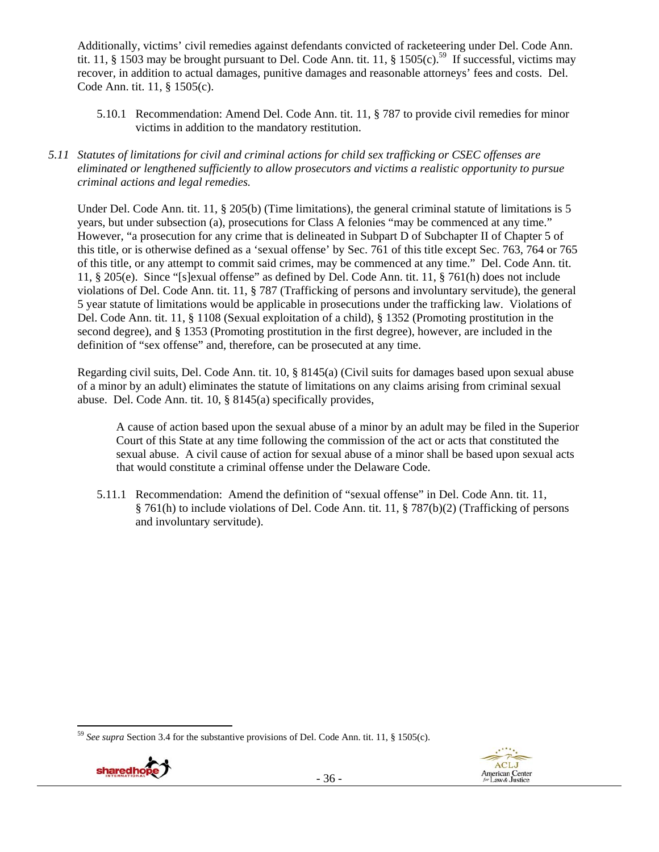Additionally, victims' civil remedies against defendants convicted of racketeering under Del. Code Ann. tit. 11, § 1503 may be brought pursuant to Del. Code Ann. tit. 11, § 1505(c).<sup>59</sup> If successful, victims may recover, in addition to actual damages, punitive damages and reasonable attorneys' fees and costs. Del. Code Ann. tit. 11, § 1505(c).

- 5.10.1 Recommendation: Amend Del. Code Ann. tit. 11, § 787 to provide civil remedies for minor victims in addition to the mandatory restitution.
- *5.11 Statutes of limitations for civil and criminal actions for child sex trafficking or CSEC offenses are eliminated or lengthened sufficiently to allow prosecutors and victims a realistic opportunity to pursue criminal actions and legal remedies.*

Under Del. Code Ann. tit. 11, § 205(b) (Time limitations), the general criminal statute of limitations is 5 years, but under subsection (a), prosecutions for Class A felonies "may be commenced at any time." However, "a prosecution for any crime that is delineated in Subpart D of Subchapter II of Chapter 5 of this title, or is otherwise defined as a 'sexual offense' by Sec. 761 of this title except Sec. 763, 764 or 765 of this title, or any attempt to commit said crimes, may be commenced at any time." Del. Code Ann. tit. 11, § 205(e). Since "[s]exual offense" as defined by Del. Code Ann. tit. 11, § 761(h) does not include violations of Del. Code Ann. tit. 11, § 787 (Trafficking of persons and involuntary servitude), the general 5 year statute of limitations would be applicable in prosecutions under the trafficking law. Violations of Del. Code Ann. tit. 11, § 1108 (Sexual exploitation of a child), § 1352 (Promoting prostitution in the second degree), and § 1353 (Promoting prostitution in the first degree), however, are included in the definition of "sex offense" and, therefore, can be prosecuted at any time.

Regarding civil suits, Del. Code Ann. tit. 10, § 8145(a) (Civil suits for damages based upon sexual abuse of a minor by an adult) eliminates the statute of limitations on any claims arising from criminal sexual abuse. Del. Code Ann. tit. 10, § 8145(a) specifically provides,

A cause of action based upon the sexual abuse of a minor by an adult may be filed in the Superior Court of this State at any time following the commission of the act or acts that constituted the sexual abuse. A civil cause of action for sexual abuse of a minor shall be based upon sexual acts that would constitute a criminal offense under the Delaware Code.

5.11.1 Recommendation: Amend the definition of "sexual offense" in Del. Code Ann. tit. 11, § 761(h) to include violations of Del. Code Ann. tit. 11, § 787(b)(2) (Trafficking of persons and involuntary servitude).

<sup>59</sup> *See supra* Section 3.4 for the substantive provisions of Del. Code Ann. tit. 11, § 1505(c).

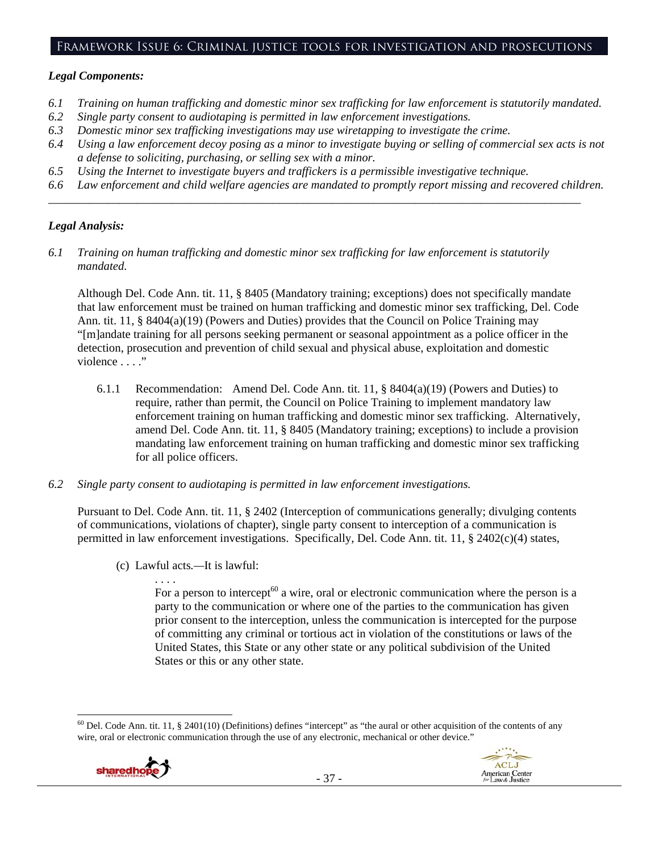## Framework Issue 6: Criminal justice tools for investigation and prosecutions

#### *Legal Components:*

- *6.1 Training on human trafficking and domestic minor sex trafficking for law enforcement is statutorily mandated.*
- *6.2 Single party consent to audiotaping is permitted in law enforcement investigations.*
- *6.3 Domestic minor sex trafficking investigations may use wiretapping to investigate the crime.*
- *6.4 Using a law enforcement decoy posing as a minor to investigate buying or selling of commercial sex acts is not a defense to soliciting, purchasing, or selling sex with a minor.*
- *6.5 Using the Internet to investigate buyers and traffickers is a permissible investigative technique.*
- *6.6 Law enforcement and child welfare agencies are mandated to promptly report missing and recovered children.*

*\_\_\_\_\_\_\_\_\_\_\_\_\_\_\_\_\_\_\_\_\_\_\_\_\_\_\_\_\_\_\_\_\_\_\_\_\_\_\_\_\_\_\_\_\_\_\_\_\_\_\_\_\_\_\_\_\_\_\_\_\_\_\_\_\_\_\_\_\_\_\_\_\_\_\_\_\_\_\_\_\_\_\_\_\_\_\_\_\_\_* 

# *Legal Analysis:*

*6.1 Training on human trafficking and domestic minor sex trafficking for law enforcement is statutorily mandated.* 

Although Del. Code Ann. tit. 11, § 8405 (Mandatory training; exceptions) does not specifically mandate that law enforcement must be trained on human trafficking and domestic minor sex trafficking, Del. Code Ann. tit. 11, § 8404(a)(19) (Powers and Duties) provides that the Council on Police Training may "[m]andate training for all persons seeking permanent or seasonal appointment as a police officer in the detection, prosecution and prevention of child sexual and physical abuse, exploitation and domestic violence . . . ."

- 6.1.1 Recommendation: Amend Del. Code Ann. tit. 11, § 8404(a)(19) (Powers and Duties) to require, rather than permit, the Council on Police Training to implement mandatory law enforcement training on human trafficking and domestic minor sex trafficking. Alternatively, amend Del. Code Ann. tit. 11, § 8405 (Mandatory training; exceptions) to include a provision mandating law enforcement training on human trafficking and domestic minor sex trafficking for all police officers.
- *6.2 Single party consent to audiotaping is permitted in law enforcement investigations.*

Pursuant to Del. Code Ann. tit. 11, § 2402 (Interception of communications generally; divulging contents of communications, violations of chapter), single party consent to interception of a communication is permitted in law enforcement investigations. Specifically, Del. Code Ann. tit. 11, § 2402(c)(4) states,

(c) Lawful acts*.—*It is lawful:

. . . .

For a person to intercept<sup>60</sup> a wire, oral or electronic communication where the person is a party to the communication or where one of the parties to the communication has given prior consent to the interception, unless the communication is intercepted for the purpose of committing any criminal or tortious act in violation of the constitutions or laws of the United States, this State or any other state or any political subdivision of the United States or this or any other state.

  $60$  Del. Code Ann. tit. 11, § 2401(10) (Definitions) defines "intercept" as "the aural or other acquisition of the contents of any wire, oral or electronic communication through the use of any electronic, mechanical or other device."

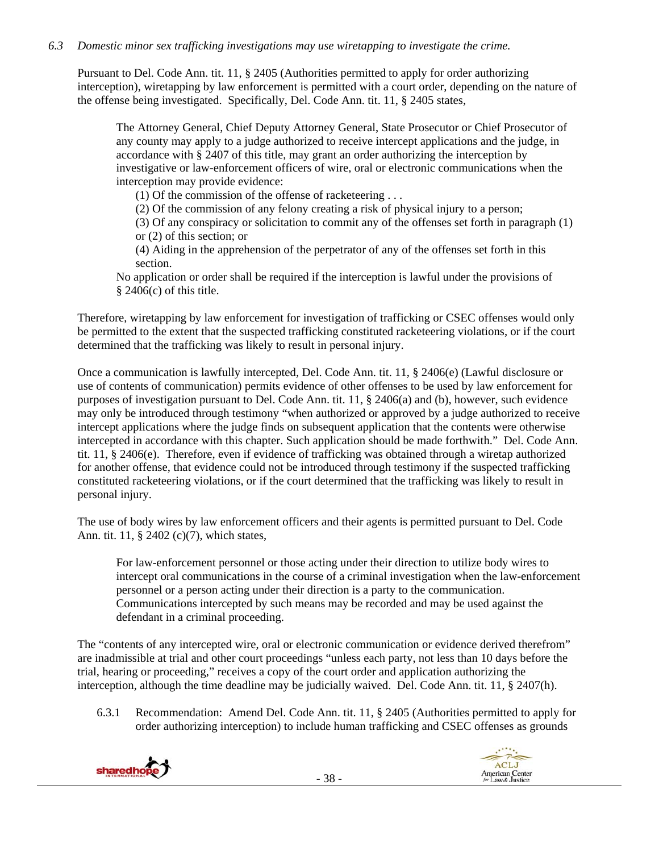# *6.3 Domestic minor sex trafficking investigations may use wiretapping to investigate the crime.*

Pursuant to Del. Code Ann. tit. 11, § 2405 (Authorities permitted to apply for order authorizing interception), wiretapping by law enforcement is permitted with a court order, depending on the nature of the offense being investigated. Specifically, Del. Code Ann. tit. 11, § 2405 states,

The Attorney General, Chief Deputy Attorney General, State Prosecutor or Chief Prosecutor of any county may apply to a judge authorized to receive intercept applications and the judge, in accordance with § 2407 of this title, may grant an order authorizing the interception by investigative or law-enforcement officers of wire, oral or electronic communications when the interception may provide evidence:

(1) Of the commission of the offense of racketeering . . .

(2) Of the commission of any felony creating a risk of physical injury to a person;

(3) Of any conspiracy or solicitation to commit any of the offenses set forth in paragraph (1) or (2) of this section; or

(4) Aiding in the apprehension of the perpetrator of any of the offenses set forth in this section.

No application or order shall be required if the interception is lawful under the provisions of  $§$  2406(c) of this title.

Therefore, wiretapping by law enforcement for investigation of trafficking or CSEC offenses would only be permitted to the extent that the suspected trafficking constituted racketeering violations, or if the court determined that the trafficking was likely to result in personal injury.

Once a communication is lawfully intercepted, Del. Code Ann. tit. 11, § 2406(e) (Lawful disclosure or use of contents of communication) permits evidence of other offenses to be used by law enforcement for purposes of investigation pursuant to Del. Code Ann. tit. 11, § 2406(a) and (b), however, such evidence may only be introduced through testimony "when authorized or approved by a judge authorized to receive intercept applications where the judge finds on subsequent application that the contents were otherwise intercepted in accordance with this chapter. Such application should be made forthwith." Del. Code Ann. tit. 11, § 2406(e). Therefore, even if evidence of trafficking was obtained through a wiretap authorized for another offense, that evidence could not be introduced through testimony if the suspected trafficking constituted racketeering violations, or if the court determined that the trafficking was likely to result in personal injury.

The use of body wires by law enforcement officers and their agents is permitted pursuant to Del. Code Ann. tit. 11, § 2402 (c)(7), which states,

For law-enforcement personnel or those acting under their direction to utilize body wires to intercept oral communications in the course of a criminal investigation when the law-enforcement personnel or a person acting under their direction is a party to the communication. Communications intercepted by such means may be recorded and may be used against the defendant in a criminal proceeding.

The "contents of any intercepted wire, oral or electronic communication or evidence derived therefrom" are inadmissible at trial and other court proceedings "unless each party, not less than 10 days before the trial, hearing or proceeding," receives a copy of the court order and application authorizing the interception, although the time deadline may be judicially waived. Del. Code Ann. tit. 11, § 2407(h).

6.3.1 Recommendation: Amend Del. Code Ann. tit. 11, § 2405 (Authorities permitted to apply for order authorizing interception) to include human trafficking and CSEC offenses as grounds



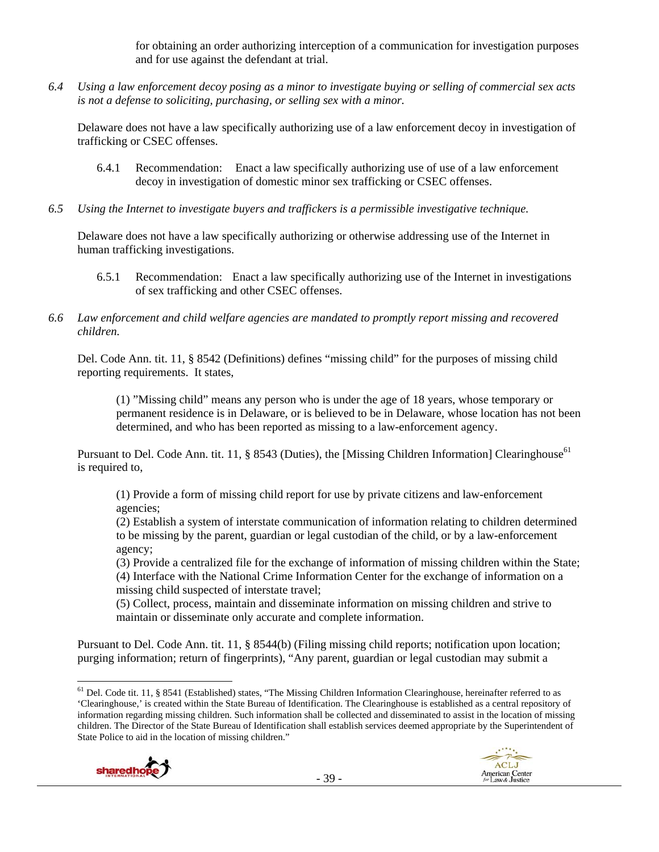for obtaining an order authorizing interception of a communication for investigation purposes and for use against the defendant at trial.

*6.4 Using a law enforcement decoy posing as a minor to investigate buying or selling of commercial sex acts is not a defense to soliciting, purchasing, or selling sex with a minor.* 

Delaware does not have a law specifically authorizing use of a law enforcement decoy in investigation of trafficking or CSEC offenses.

- 6.4.1 Recommendation: Enact a law specifically authorizing use of use of a law enforcement decoy in investigation of domestic minor sex trafficking or CSEC offenses.
- *6.5 Using the Internet to investigate buyers and traffickers is a permissible investigative technique.*

Delaware does not have a law specifically authorizing or otherwise addressing use of the Internet in human trafficking investigations.

- 6.5.1 Recommendation: Enact a law specifically authorizing use of the Internet in investigations of sex trafficking and other CSEC offenses.
- *6.6 Law enforcement and child welfare agencies are mandated to promptly report missing and recovered children.*

Del. Code Ann. tit. 11, § 8542 (Definitions) defines "missing child" for the purposes of missing child reporting requirements. It states,

(1) "Missing child" means any person who is under the age of 18 years, whose temporary or permanent residence is in Delaware, or is believed to be in Delaware, whose location has not been determined, and who has been reported as missing to a law-enforcement agency.

Pursuant to Del. Code Ann. tit. 11, § 8543 (Duties), the [Missing Children Information] Clearinghouse<sup>61</sup> is required to,

(1) Provide a form of missing child report for use by private citizens and law-enforcement agencies;

(2) Establish a system of interstate communication of information relating to children determined to be missing by the parent, guardian or legal custodian of the child, or by a law-enforcement agency;

(3) Provide a centralized file for the exchange of information of missing children within the State; (4) Interface with the National Crime Information Center for the exchange of information on a missing child suspected of interstate travel;

(5) Collect, process, maintain and disseminate information on missing children and strive to maintain or disseminate only accurate and complete information.

Pursuant to Del. Code Ann. tit. 11, § 8544(b) (Filing missing child reports; notification upon location; purging information; return of fingerprints), "Any parent, guardian or legal custodian may submit a

  $<sup>61</sup>$  Del. Code tit. 11, § 8541 (Established) states, "The Missing Children Information Clearinghouse, hereinafter referred to as</sup> 'Clearinghouse,' is created within the State Bureau of Identification. The Clearinghouse is established as a central repository of information regarding missing children. Such information shall be collected and disseminated to assist in the location of missing children. The Director of the State Bureau of Identification shall establish services deemed appropriate by the Superintendent of State Police to aid in the location of missing children."